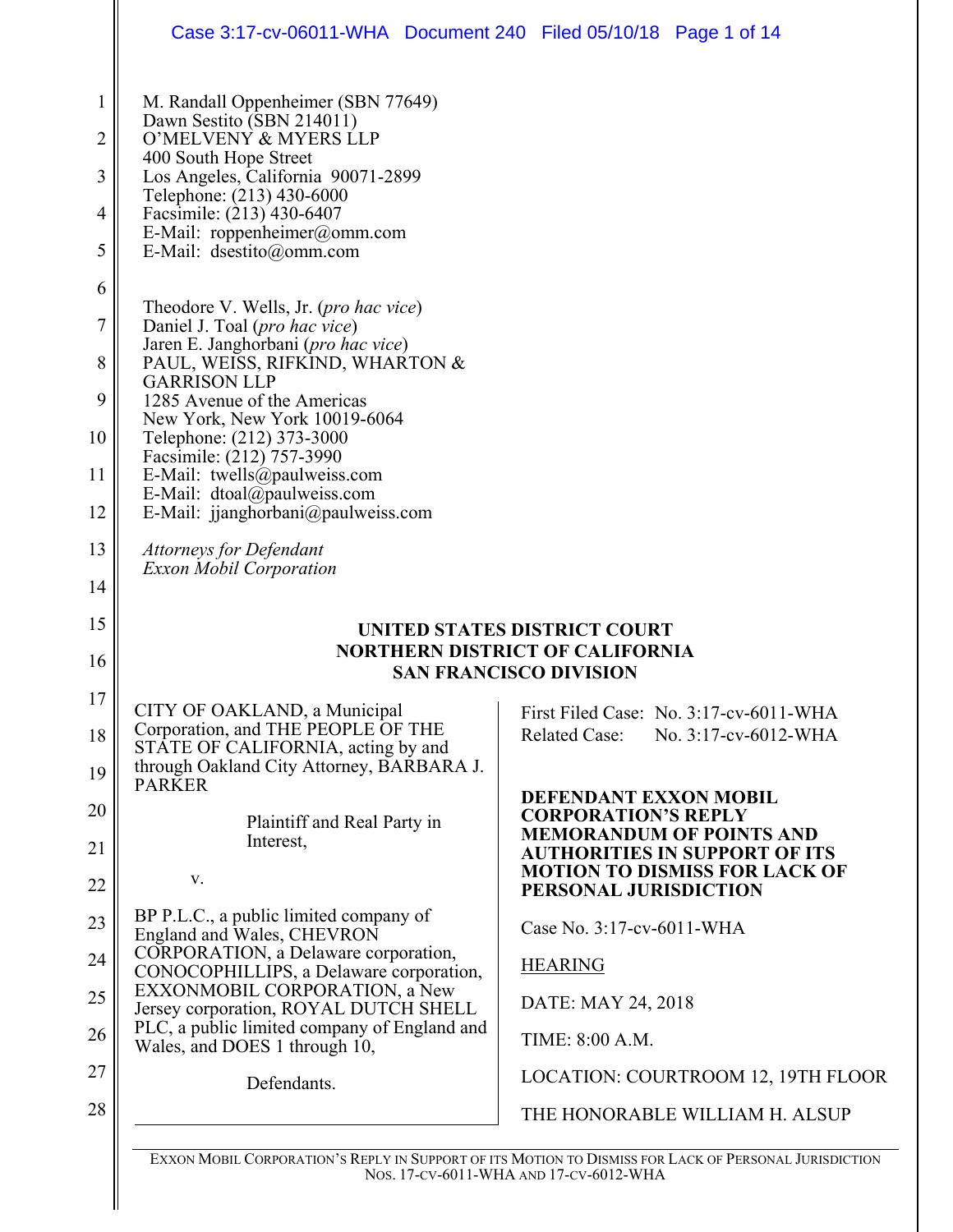|                                    | Case 3:17-cv-06011-WHA Document 240 Filed 05/10/18 Page 1 of 14                                                                                                                                                                                                                                                                                                                                                 |                                                                                                       |
|------------------------------------|-----------------------------------------------------------------------------------------------------------------------------------------------------------------------------------------------------------------------------------------------------------------------------------------------------------------------------------------------------------------------------------------------------------------|-------------------------------------------------------------------------------------------------------|
| $\mathbf 1$<br>2<br>3<br>4<br>5    | M. Randall Oppenheimer (SBN 77649)<br>Dawn Sestito (SBN 214011)<br>O'MELVENY & MYERS LLP<br>400 South Hope Street<br>Los Angeles, California 90071-2899<br>Telephone: (213) 430-6000<br>Facsimile: (213) 430-6407<br>E-Mail: roppenheimer@omm.com<br>E-Mail: dsestito@omm.com                                                                                                                                   |                                                                                                       |
| 6<br>7<br>8<br>9<br>10<br>11<br>12 | Theodore V. Wells, Jr. ( <i>pro hac vice</i> )<br>Daniel J. Toal (pro hac vice)<br>Jaren E. Janghorbani (pro hac vice)<br>PAUL, WEISS, RIFKIND, WHARTON &<br><b>GARRISON LLP</b><br>1285 Avenue of the Americas<br>New York, New York 10019-6064<br>Telephone: (212) 373-3000<br>Facsimile: (212) 757-3990<br>E-Mail: twells@paulweiss.com<br>E-Mail: dtoal@paulweiss.com<br>E-Mail: jjanghorbani@paulweiss.com |                                                                                                       |
| 13<br>14                           | <b>Attorneys for Defendant</b><br><b>Exxon Mobil Corporation</b>                                                                                                                                                                                                                                                                                                                                                |                                                                                                       |
| 15                                 |                                                                                                                                                                                                                                                                                                                                                                                                                 | UNITED STATES DISTRICT COURT                                                                          |
| 16                                 |                                                                                                                                                                                                                                                                                                                                                                                                                 | <b>NORTHERN DISTRICT OF CALIFORNIA</b><br><b>SAN FRANCISCO DIVISION</b>                               |
| 17                                 | CITY OF OAKLAND, a Municipal                                                                                                                                                                                                                                                                                                                                                                                    | First Filed Case: No. 3:17-cv-6011-WHA                                                                |
| 18<br>19                           | Corporation, and THE PEOPLE OF THE<br>STATE OF CALIFORNIA, acting by and<br>through Oakland City Attorney, BARBARA J.                                                                                                                                                                                                                                                                                           | <b>Related Case:</b><br>No. 3:17-cv-6012-WHA                                                          |
| 20                                 | <b>PARKER</b>                                                                                                                                                                                                                                                                                                                                                                                                   | DEFENDANT EXXON MOBIL                                                                                 |
| 21                                 | Plaintiff and Real Party in<br>Interest,                                                                                                                                                                                                                                                                                                                                                                        | <b>CORPORATION'S REPLY</b><br><b>MEMORANDUM OF POINTS AND</b>                                         |
| 22                                 | V.                                                                                                                                                                                                                                                                                                                                                                                                              | <b>AUTHORITIES IN SUPPORT OF ITS</b><br><b>MOTION TO DISMISS FOR LACK OF</b><br>PERSONAL JURISDICTION |
| 23                                 | BP P.L.C., a public limited company of<br>England and Wales, CHEVRON                                                                                                                                                                                                                                                                                                                                            | Case No. 3:17-cv-6011-WHA                                                                             |
| 24                                 | CORPORATION, a Delaware corporation,<br>CONOCOPHILLIPS, a Delaware corporation,                                                                                                                                                                                                                                                                                                                                 | <b>HEARING</b>                                                                                        |
| 25                                 | EXXONMOBIL CORPORATION, a New<br>Jersey corporation, ROYAL DUTCH SHELL                                                                                                                                                                                                                                                                                                                                          | DATE: MAY 24, 2018                                                                                    |
| 26                                 | PLC, a public limited company of England and<br>Wales, and DOES 1 through 10,                                                                                                                                                                                                                                                                                                                                   | TIME: 8:00 A.M.                                                                                       |
| 27                                 | Defendants.                                                                                                                                                                                                                                                                                                                                                                                                     | LOCATION: COURTROOM 12, 19TH FLOOR                                                                    |
| 28                                 |                                                                                                                                                                                                                                                                                                                                                                                                                 | THE HONORABLE WILLIAM H. ALSUP                                                                        |
|                                    |                                                                                                                                                                                                                                                                                                                                                                                                                 |                                                                                                       |

EXXON MOBIL CORPORATION'S REPLY IN SUPPORT OF ITS MOTION TO DISMISS FOR LACK OF PERSONAL JURISDICTION NOS. 17-CV-6011-WHA AND 17-CV-6012-WHA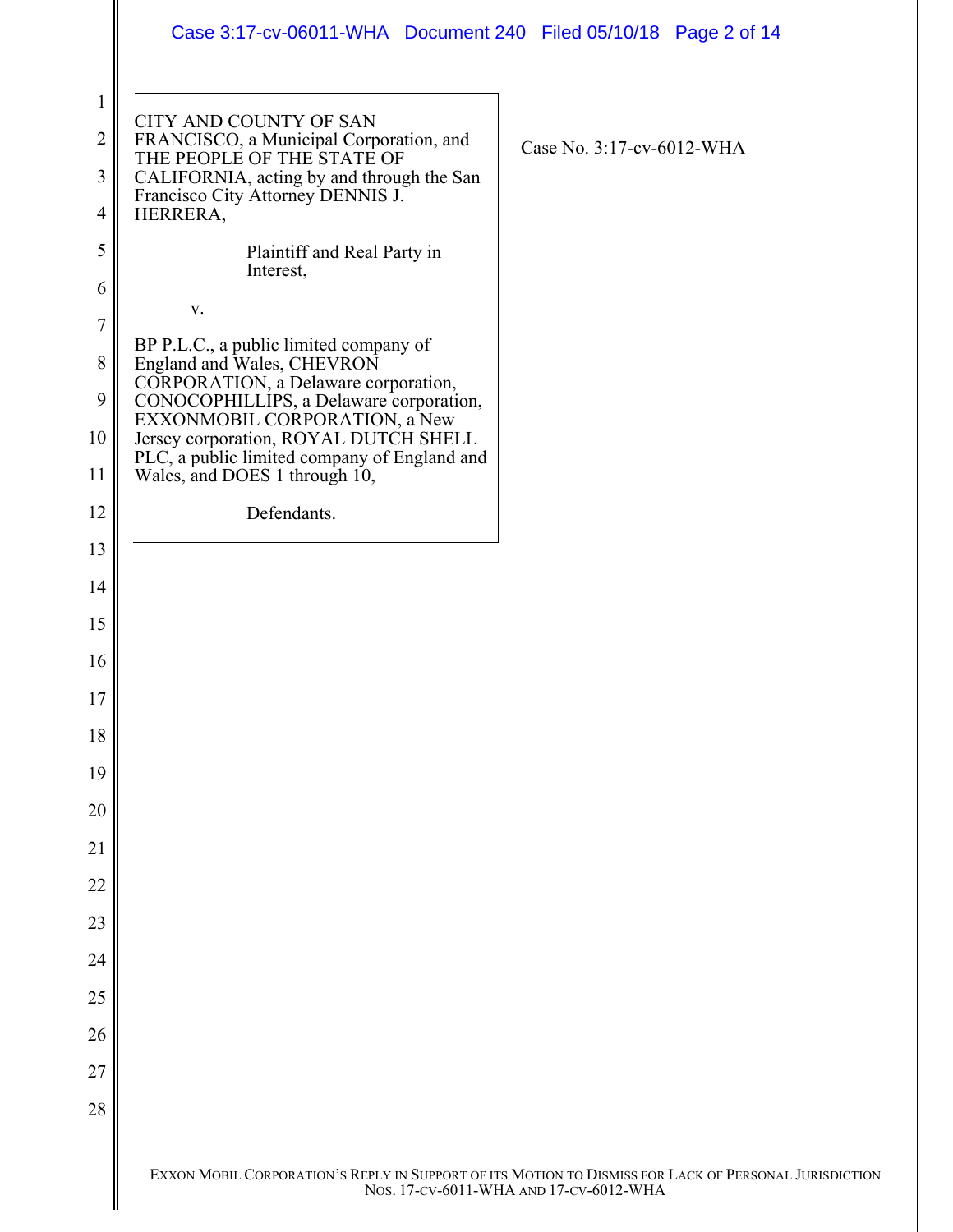|                     | Case 3:17-cv-06011-WHA  Document 240  Filed 05/10/18  Page 2 of 14                                               |                                                                                                       |  |
|---------------------|------------------------------------------------------------------------------------------------------------------|-------------------------------------------------------------------------------------------------------|--|
| $\mathbf{1}$        | CITY AND COUNTY OF SAN                                                                                           |                                                                                                       |  |
| $\overline{2}$      | FRANCISCO, a Municipal Corporation, and<br>THE PEOPLE OF THE STATE OF                                            | Case No. 3:17-cv-6012-WHA                                                                             |  |
| 3                   | CALIFORNIA, acting by and through the San<br>Francisco City Attorney DENNIS J.                                   |                                                                                                       |  |
| $\overline{4}$<br>5 | HERRERA,<br>Plaintiff and Real Party in                                                                          |                                                                                                       |  |
| 6                   | Interest,                                                                                                        |                                                                                                       |  |
| $\overline{7}$      | $\mathbf{V}$ .                                                                                                   |                                                                                                       |  |
| 8                   | BP P.L.C., a public limited company of<br>England and Wales, CHEVRON                                             |                                                                                                       |  |
| 9                   | CORPORATION, a Delaware corporation,<br>CONOCOPHILLIPS, a Delaware corporation,<br>EXXONMOBIL CORPORATION, a New |                                                                                                       |  |
| 10                  | Jersey corporation, ROYAL DUTCH SHELL<br>PLC, a public limited company of England and                            |                                                                                                       |  |
| 11                  | Wales, and DOES 1 through 10,                                                                                    |                                                                                                       |  |
| 12                  | Defendants.                                                                                                      |                                                                                                       |  |
| 13                  |                                                                                                                  |                                                                                                       |  |
| 14                  |                                                                                                                  |                                                                                                       |  |
| 15                  |                                                                                                                  |                                                                                                       |  |
| 16                  |                                                                                                                  |                                                                                                       |  |
| 17<br>18            |                                                                                                                  |                                                                                                       |  |
| 19                  |                                                                                                                  |                                                                                                       |  |
| 20                  |                                                                                                                  |                                                                                                       |  |
| 21                  |                                                                                                                  |                                                                                                       |  |
| 22                  |                                                                                                                  |                                                                                                       |  |
| 23                  |                                                                                                                  |                                                                                                       |  |
| 24                  |                                                                                                                  |                                                                                                       |  |
| 25                  |                                                                                                                  |                                                                                                       |  |
| 26                  |                                                                                                                  |                                                                                                       |  |
| 27                  |                                                                                                                  |                                                                                                       |  |
| 28                  |                                                                                                                  |                                                                                                       |  |
|                     |                                                                                                                  | EXXON MOBIL CORPORATION'S REPLY IN SUPPORT OF ITS MOTION TO DISMISS FOR LACK OF PERSONAL JURISDICTION |  |
|                     |                                                                                                                  | Nos. 17-CV-6011-WHA AND 17-CV-6012-WHA                                                                |  |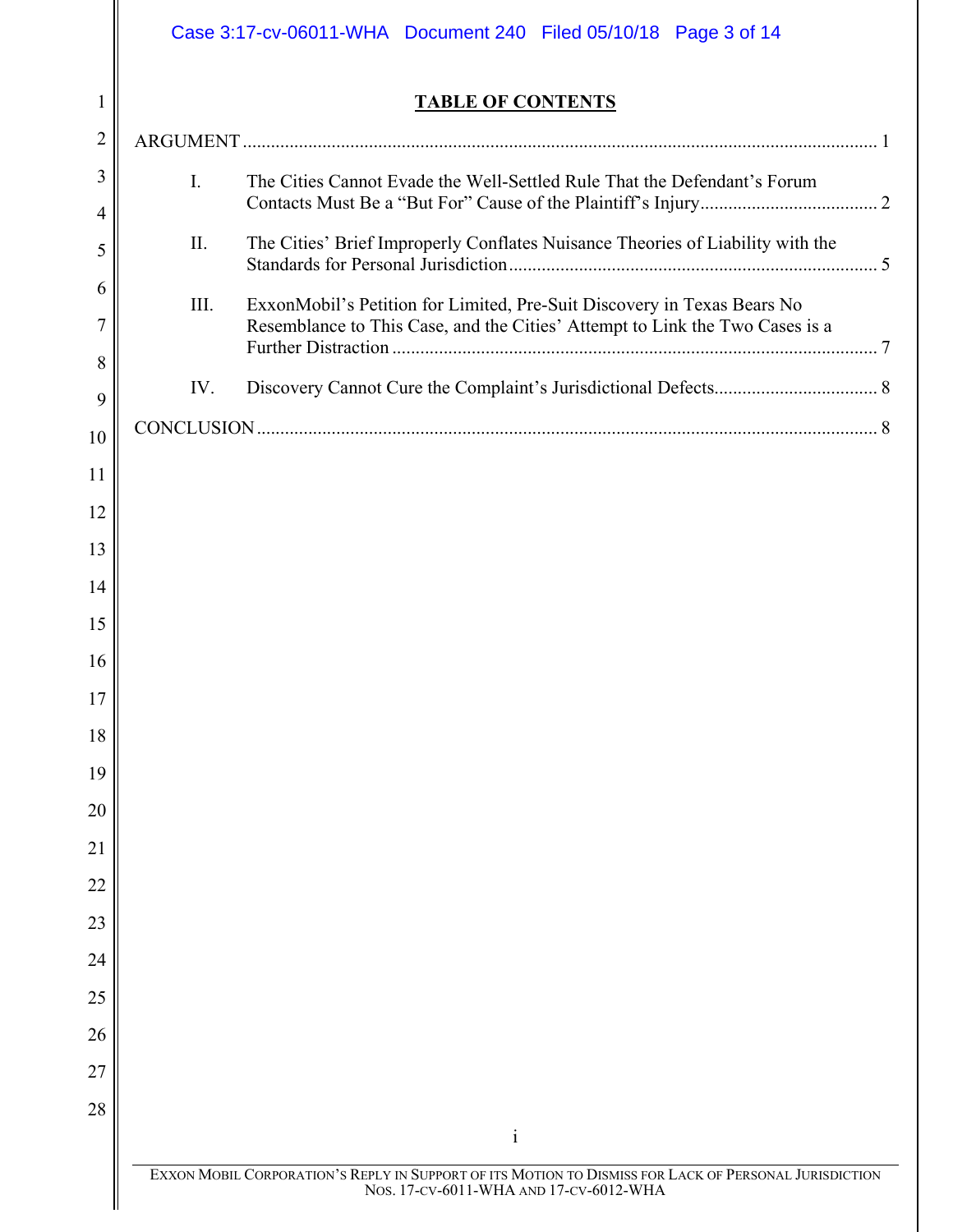|                          | Case 3:17-cv-06011-WHA  Document 240  Filed 05/10/18  Page 3 of 14 |                                                                                                                                                         |  |
|--------------------------|--------------------------------------------------------------------|---------------------------------------------------------------------------------------------------------------------------------------------------------|--|
| 1                        |                                                                    | <b>TABLE OF CONTENTS</b>                                                                                                                                |  |
| $\overline{2}$           |                                                                    |                                                                                                                                                         |  |
| 3<br>4                   | I.                                                                 | The Cities Cannot Evade the Well-Settled Rule That the Defendant's Forum                                                                                |  |
| 5                        | II.                                                                | The Cities' Brief Improperly Conflates Nuisance Theories of Liability with the                                                                          |  |
| 6<br>$\overline{7}$<br>8 | III.                                                               | ExxonMobil's Petition for Limited, Pre-Suit Discovery in Texas Bears No<br>Resemblance to This Case, and the Cities' Attempt to Link the Two Cases is a |  |
| 9                        | IV.                                                                |                                                                                                                                                         |  |
| 10                       |                                                                    |                                                                                                                                                         |  |
| 11                       |                                                                    |                                                                                                                                                         |  |
| 12                       |                                                                    |                                                                                                                                                         |  |
| 13                       |                                                                    |                                                                                                                                                         |  |
| 14                       |                                                                    |                                                                                                                                                         |  |
| 15                       |                                                                    |                                                                                                                                                         |  |
| 16                       |                                                                    |                                                                                                                                                         |  |
| 17                       |                                                                    |                                                                                                                                                         |  |
| 18                       |                                                                    |                                                                                                                                                         |  |
| 19                       |                                                                    |                                                                                                                                                         |  |
| 20                       |                                                                    |                                                                                                                                                         |  |
| 21                       |                                                                    |                                                                                                                                                         |  |
| 22                       |                                                                    |                                                                                                                                                         |  |
| 23                       |                                                                    |                                                                                                                                                         |  |
| 24                       |                                                                    |                                                                                                                                                         |  |
| 25                       |                                                                    |                                                                                                                                                         |  |
| 26<br>27                 |                                                                    |                                                                                                                                                         |  |
| 28                       |                                                                    |                                                                                                                                                         |  |
|                          |                                                                    | $\mathbf{i}$                                                                                                                                            |  |
|                          |                                                                    | EXXON MOBIL CORPORATION'S REPLY IN SUPPORT OF ITS MOTION TO DISMISS FOR LACK OF PERSONAL JURISDICTION<br>Nos. 17-cv-6011-WHA AND 17-cv-6012-WHA         |  |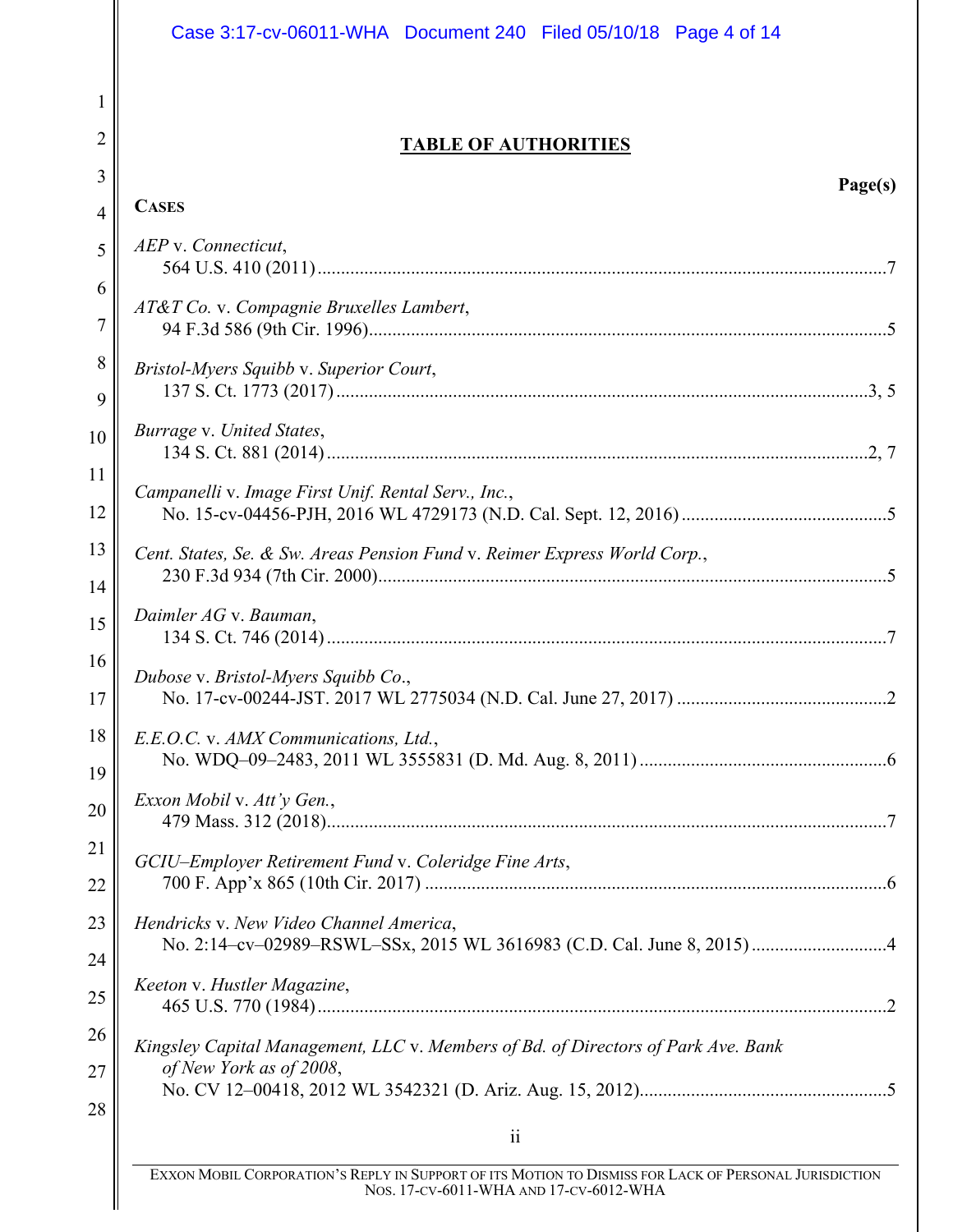|                | Case 3:17-cv-06011-WHA Document 240 Filed 05/10/18 Page 4 of 14                   |
|----------------|-----------------------------------------------------------------------------------|
| 1              |                                                                                   |
| 2              | <b>TABLE OF AUTHORITIES</b>                                                       |
| 3              | Page(s)                                                                           |
| $\overline{4}$ | <b>CASES</b>                                                                      |
| 5              | AEP v. Connecticut,                                                               |
| 6<br>7         | AT&T Co. v. Compagnie Bruxelles Lambert,                                          |
| 8<br>9         | Bristol-Myers Squibb v. Superior Court,                                           |
| 10             | Burrage v. United States,                                                         |
| 11<br>12       | Campanelli v. Image First Unif. Rental Serv., Inc.,                               |
| 13<br>14       | Cent. States, Se. & Sw. Areas Pension Fund v. Reimer Express World Corp.,         |
| 15             | Daimler AG v. Bauman,                                                             |
| 16<br>17       | Dubose v. Bristol-Myers Squibb Co.,                                               |
| 18<br>19       | E.E.O.C. v. AMX Communications, Ltd.,                                             |
| 20             | Exxon Mobil v. Att'y Gen.,                                                        |
| 21<br>22       | GCIU-Employer Retirement Fund v. Coleridge Fine Arts,                             |
| 23<br>24       | Hendricks v. New Video Channel America,                                           |
| 25             | Keeton v. Hustler Magazine,                                                       |
| 26             | Kingsley Capital Management, LLC v. Members of Bd. of Directors of Park Ave. Bank |
| 27             | of New York as of 2008,                                                           |
| 28             | $\ddot{\mathbf{i}}$                                                               |

 $\mathsf{\mathsf{I}}$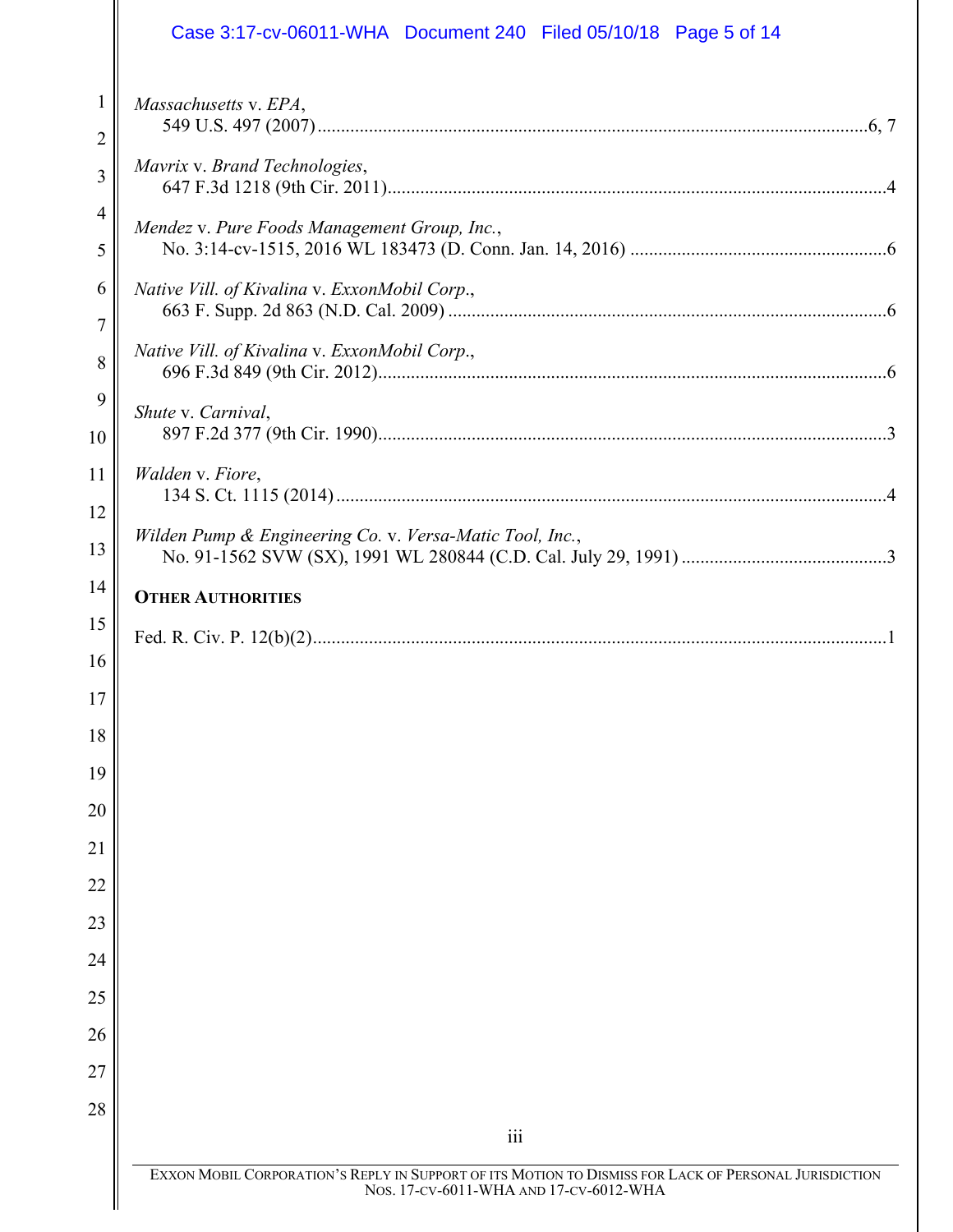|                                | Case 3:17-cv-06011-WHA Document 240 Filed 05/10/18 Page 5 of 14                                                                                 |
|--------------------------------|-------------------------------------------------------------------------------------------------------------------------------------------------|
| $\mathbf{1}$<br>$\overline{2}$ | Massachusetts v. EPA,                                                                                                                           |
| 3                              | Mavrix v. Brand Technologies,                                                                                                                   |
| $\overline{4}$<br>5            | Mendez v. Pure Foods Management Group, Inc.,                                                                                                    |
| 6<br>7                         | Native Vill. of Kivalina v. ExxonMobil Corp.,                                                                                                   |
| 8                              | Native Vill. of Kivalina v. ExxonMobil Corp.,                                                                                                   |
| 9<br>10                        | Shute v. Carnival,                                                                                                                              |
| 11<br>12                       | Walden v. Fiore,                                                                                                                                |
| 13                             | Wilden Pump & Engineering Co. v. Versa-Matic Tool, Inc.,                                                                                        |
| 14                             | <b>OTHER AUTHORITIES</b>                                                                                                                        |
| 15                             |                                                                                                                                                 |
| 16                             |                                                                                                                                                 |
| 17                             |                                                                                                                                                 |
| 18                             |                                                                                                                                                 |
| 19                             |                                                                                                                                                 |
| 20                             |                                                                                                                                                 |
| 21                             |                                                                                                                                                 |
| 22                             |                                                                                                                                                 |
| 23                             |                                                                                                                                                 |
| 24                             |                                                                                                                                                 |
| 25                             |                                                                                                                                                 |
| 26<br>27                       |                                                                                                                                                 |
| 28                             |                                                                                                                                                 |
|                                | $\overline{111}$                                                                                                                                |
|                                | EXXON MOBIL CORPORATION'S REPLY IN SUPPORT OF ITS MOTION TO DISMISS FOR LACK OF PERSONAL JURISDICTION<br>Nos. 17-CV-6011-WHA AND 17-CV-6012-WHA |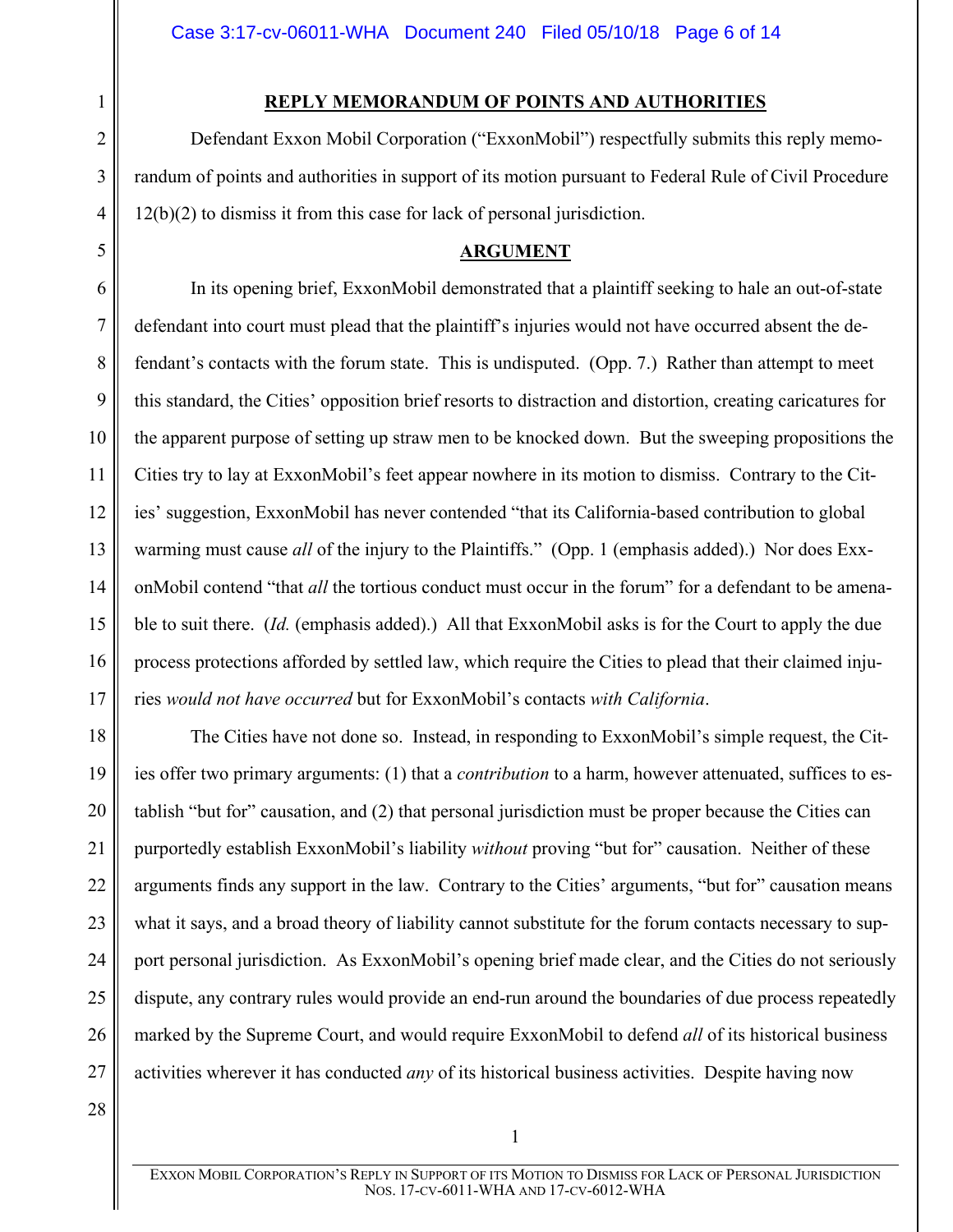# **REPLY MEMORANDUM OF POINTS AND AUTHORITIES**

Defendant Exxon Mobil Corporation ("ExxonMobil") respectfully submits this reply memorandum of points and authorities in support of its motion pursuant to Federal Rule of Civil Procedure 12(b)(2) to dismiss it from this case for lack of personal jurisdiction.

## <span id="page-5-1"></span>**ARGUMENT**

6 7 8 9 10 11 12 13 14 15 16 17 In its opening brief, ExxonMobil demonstrated that a plaintiff seeking to hale an out-of-state defendant into court must plead that the plaintiff's injuries would not have occurred absent the defendant's contacts with the forum state. This is undisputed. (Opp. 7.) Rather than attempt to meet this standard, the Cities' opposition brief resorts to distraction and distortion, creating caricatures for the apparent purpose of setting up straw men to be knocked down. But the sweeping propositions the Cities try to lay at ExxonMobil's feet appear nowhere in its motion to dismiss. Contrary to the Cities' suggestion, ExxonMobil has never contended "that its California-based contribution to global warming must cause *all* of the injury to the Plaintiffs." (Opp. 1 (emphasis added).) Nor does ExxonMobil contend "that *all* the tortious conduct must occur in the forum" for a defendant to be amenable to suit there. (*Id.* (emphasis added).) All that ExxonMobil asks is for the Court to apply the due process protections afforded by settled law, which require the Cities to plead that their claimed injuries *would not have occurred* but for ExxonMobil's contacts *with California*.

The Cities have not done so. Instead, in responding to ExxonMobil's simple request, the Cities offer two primary arguments: (1) that a *contribution* to a harm, however attenuated, suffices to establish "but for" causation, and (2) that personal jurisdiction must be proper because the Cities can purportedly establish ExxonMobil's liability *without* proving "but for" causation. Neither of these arguments finds any support in the law. Contrary to the Cities' arguments, "but for" causation means what it says, and a broad theory of liability cannot substitute for the forum contacts necessary to support personal jurisdiction. As ExxonMobil's opening brief made clear, and the Cities do not seriously dispute, any contrary rules would provide an end-run around the boundaries of due process repeatedly marked by the Supreme Court, and would require ExxonMobil to defend *all* of its historical business activities wherever it has conducted *any* of its historical business activities. Despite having now

28

18

19

20

21

22

23

24

25

26

27

1

2

3

4

<span id="page-5-0"></span>5

EXXON MOBIL CORPORATION'S REPLY IN SUPPORT OF ITS MOTION TO DISMISS FOR LACK OF PERSONAL JURISDICTION NOS. 17-CV-6011-WHA AND 17-CV-6012-WHA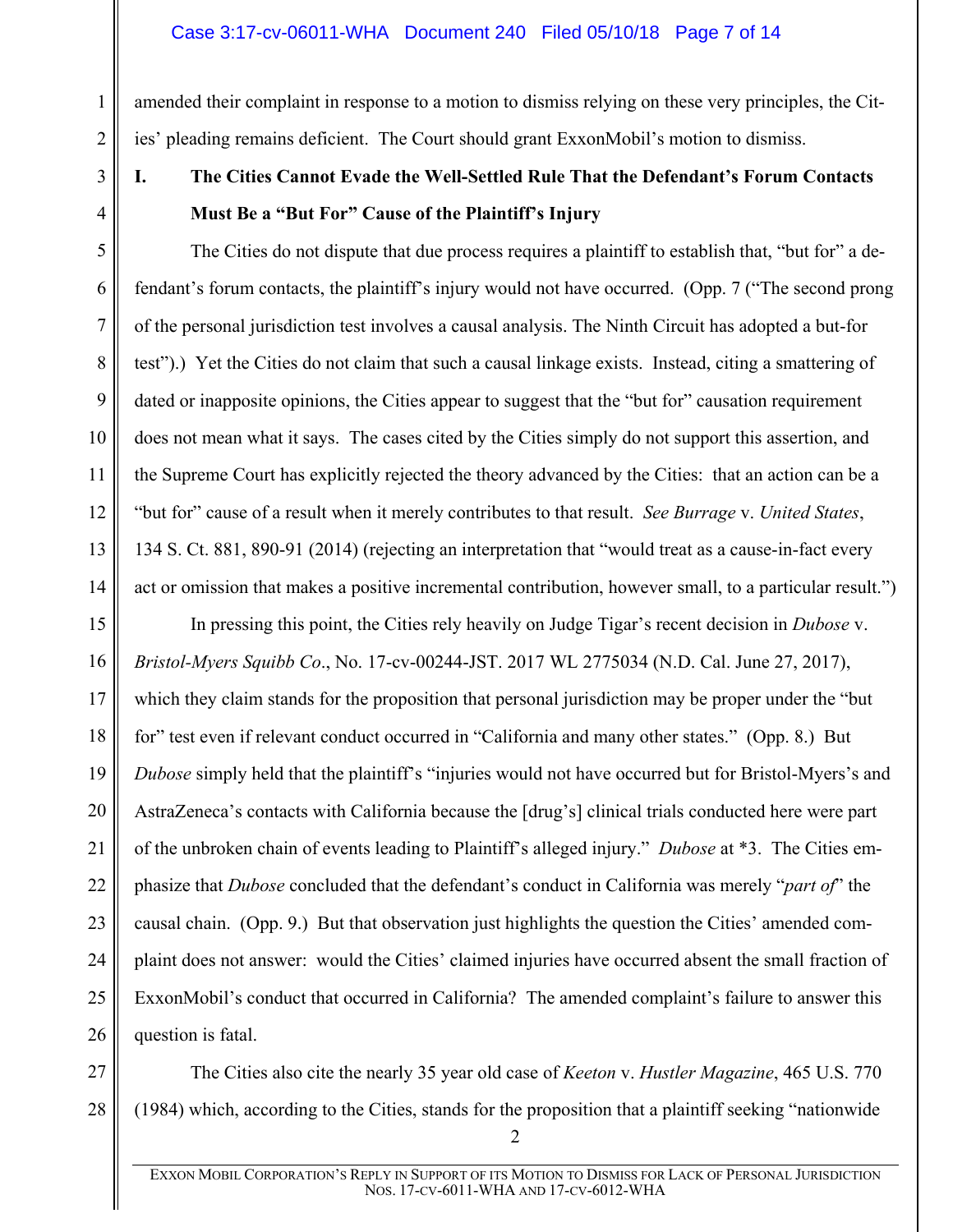1

2

3

4

5

6

7

8

<span id="page-6-1"></span>9

10

11

12

13

<span id="page-6-2"></span>14

amended their complaint in response to a motion to dismiss relying on these very principles, the Cities' pleading remains deficient. The Court should grant ExxonMobil's motion to dismiss.

<span id="page-6-0"></span>**I. The Cities Cannot Evade the Well-Settled Rule That the Defendant's Forum Contacts Must Be a "But For" Cause of the Plaintiff's Injury**

The Cities do not dispute that due process requires a plaintiff to establish that, "but for" a defendant's forum contacts, the plaintiff's injury would not have occurred. (Opp. 7 ("The second prong of the personal jurisdiction test involves a causal analysis. The Ninth Circuit has adopted a but-for test").) Yet the Cities do not claim that such a causal linkage exists. Instead, citing a smattering of dated or inapposite opinions, the Cities appear to suggest that the "but for" causation requirement does not mean what it says. The cases cited by the Cities simply do not support this assertion, and the Supreme Court has explicitly rejected the theory advanced by the Cities: that an action can be a "but for" cause of a result when it merely contributes to that result. *See Burrage* v. *United States*, 134 S. Ct. 881, 890-91 (2014) (rejecting an interpretation that "would treat as a cause-in-fact every act or omission that makes a positive incremental contribution, however small, to a particular result.")

15 16 17 18 19 20 21 22 23 24 25 26 In pressing this point, the Cities rely heavily on Judge Tigar's recent decision in *Dubose* v. *Bristol-Myers Squibb Co*., No. 17-cv-00244-JST. 2017 WL 2775034 (N.D. Cal. June 27, 2017), which they claim stands for the proposition that personal jurisdiction may be proper under the "but for" test even if relevant conduct occurred in "California and many other states." (Opp. 8.) But *Dubose* simply held that the plaintiff's "injuries would not have occurred but for Bristol-Myers's and AstraZeneca's contacts with California because the [drug's] clinical trials conducted here were part of the unbroken chain of events leading to Plaintiff's alleged injury." *Dubose* at \*3. The Cities emphasize that *Dubose* concluded that the defendant's conduct in California was merely "*part of*" the causal chain. (Opp. 9.) But that observation just highlights the question the Cities' amended complaint does not answer: would the Cities' claimed injuries have occurred absent the small fraction of ExxonMobil's conduct that occurred in California? The amended complaint's failure to answer this question is fatal.

<span id="page-6-3"></span>27 28 The Cities also cite the nearly 35 year old case of *Keeton* v. *Hustler Magazine*, 465 U.S. 770 (1984) which, according to the Cities, stands for the proposition that a plaintiff seeking "nationwide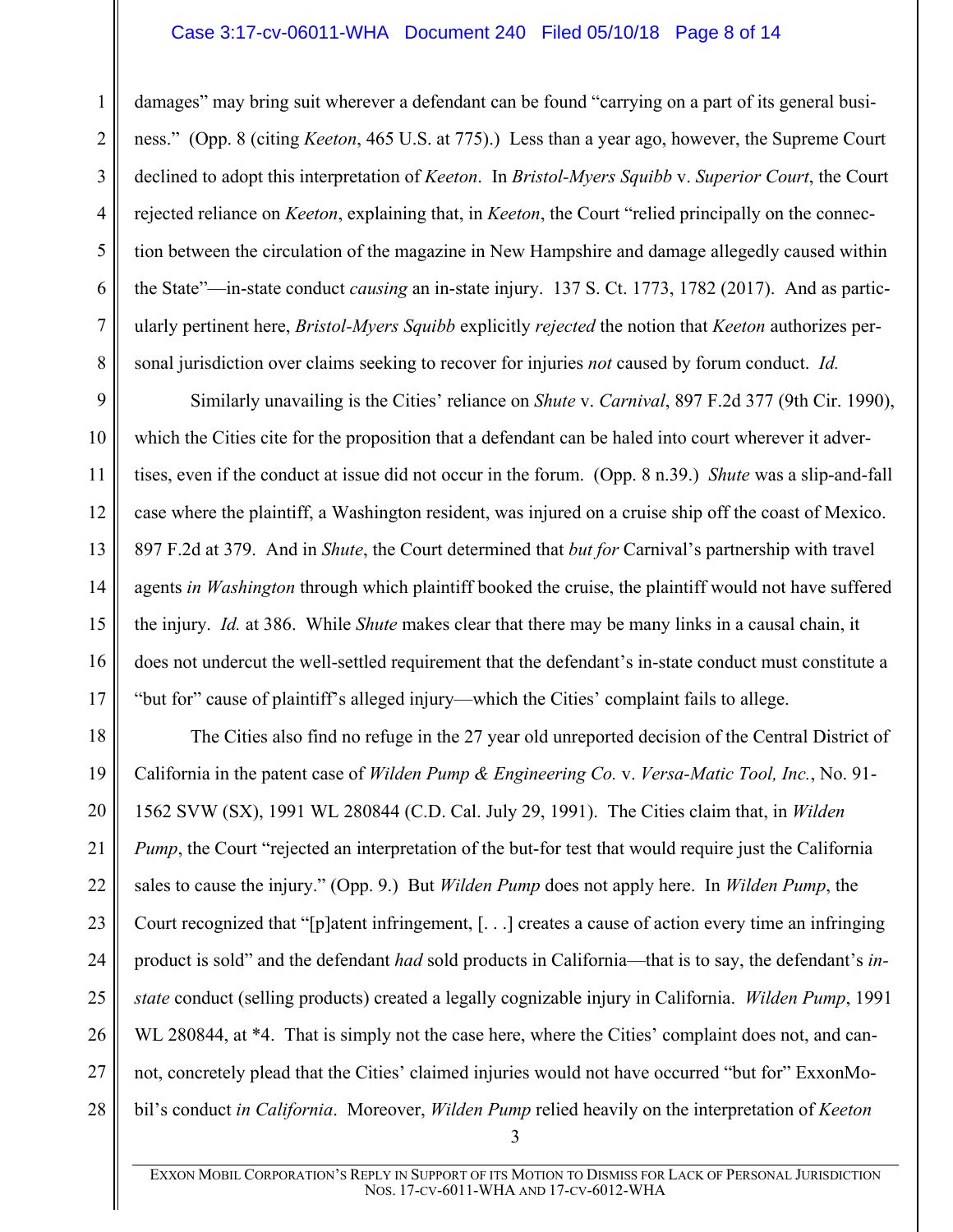## <span id="page-7-0"></span>Case 3:17-cv-06011-WHA Document 240 Filed 05/10/18 Page 8 of 14

1

2

3

4

5

6

7

<span id="page-7-1"></span>8

damages" may bring suit wherever a defendant can be found "carrying on a part of its general business." (Opp. 8 (citing *Keeton*, 465 U.S. at 775).) Less than a year ago, however, the Supreme Court declined to adopt this interpretation of *Keeton*. In *Bristol-Myers Squibb* v. *Superior Court*, the Court rejected reliance on *Keeton*, explaining that, in *Keeton*, the Court "relied principally on the connection between the circulation of the magazine in New Hampshire and damage allegedly caused within the State"—in-state conduct *causing* an in-state injury. 137 S. Ct. 1773, 1782 (2017). And as particularly pertinent here, *Bristol-Myers Squibb* explicitly *rejected* the notion that *Keeton* authorizes personal jurisdiction over claims seeking to recover for injuries *not* caused by forum conduct. *Id.*

9 10 11 12 13 14 15 16 17 Similarly unavailing is the Cities' reliance on *Shute* v. *Carnival*, 897 F.2d 377 (9th Cir. 1990), which the Cities cite for the proposition that a defendant can be haled into court wherever it advertises, even if the conduct at issue did not occur in the forum. (Opp. 8 n.39.) *Shute* was a slip-and-fall case where the plaintiff, a Washington resident, was injured on a cruise ship off the coast of Mexico. 897 F.2d at 379. And in *Shute*, the Court determined that *but for* Carnival's partnership with travel agents *in Washington* through which plaintiff booked the cruise, the plaintiff would not have suffered the injury. *Id.* at 386. While *Shute* makes clear that there may be many links in a causal chain, it does not undercut the well-settled requirement that the defendant's in-state conduct must constitute a "but for" cause of plaintiff's alleged injury—which the Cities' complaint fails to allege.

<span id="page-7-2"></span>18 19 20 21 22 23 24 25 26 27 28 The Cities also find no refuge in the 27 year old unreported decision of the Central District of California in the patent case of *Wilden Pump & Engineering Co.* v. *Versa-Matic Tool, Inc.*, No. 91- 1562 SVW (SX), 1991 WL 280844 (C.D. Cal. July 29, 1991). The Cities claim that, in *Wilden Pump*, the Court "rejected an interpretation of the but-for test that would require just the California sales to cause the injury." (Opp. 9.) But *Wilden Pump* does not apply here. In *Wilden Pump*, the Court recognized that "[p]atent infringement, [. . .] creates a cause of action every time an infringing product is sold" and the defendant *had* sold products in California—that is to say, the defendant's *instate* conduct (selling products) created a legally cognizable injury in California. *Wilden Pump*, 1991 WL 280844, at \*4. That is simply not the case here, where the Cities' complaint does not, and cannot, concretely plead that the Cities' claimed injuries would not have occurred "but for" ExxonMobil's conduct *in California*. Moreover, *Wilden Pump* relied heavily on the interpretation of *Keeton*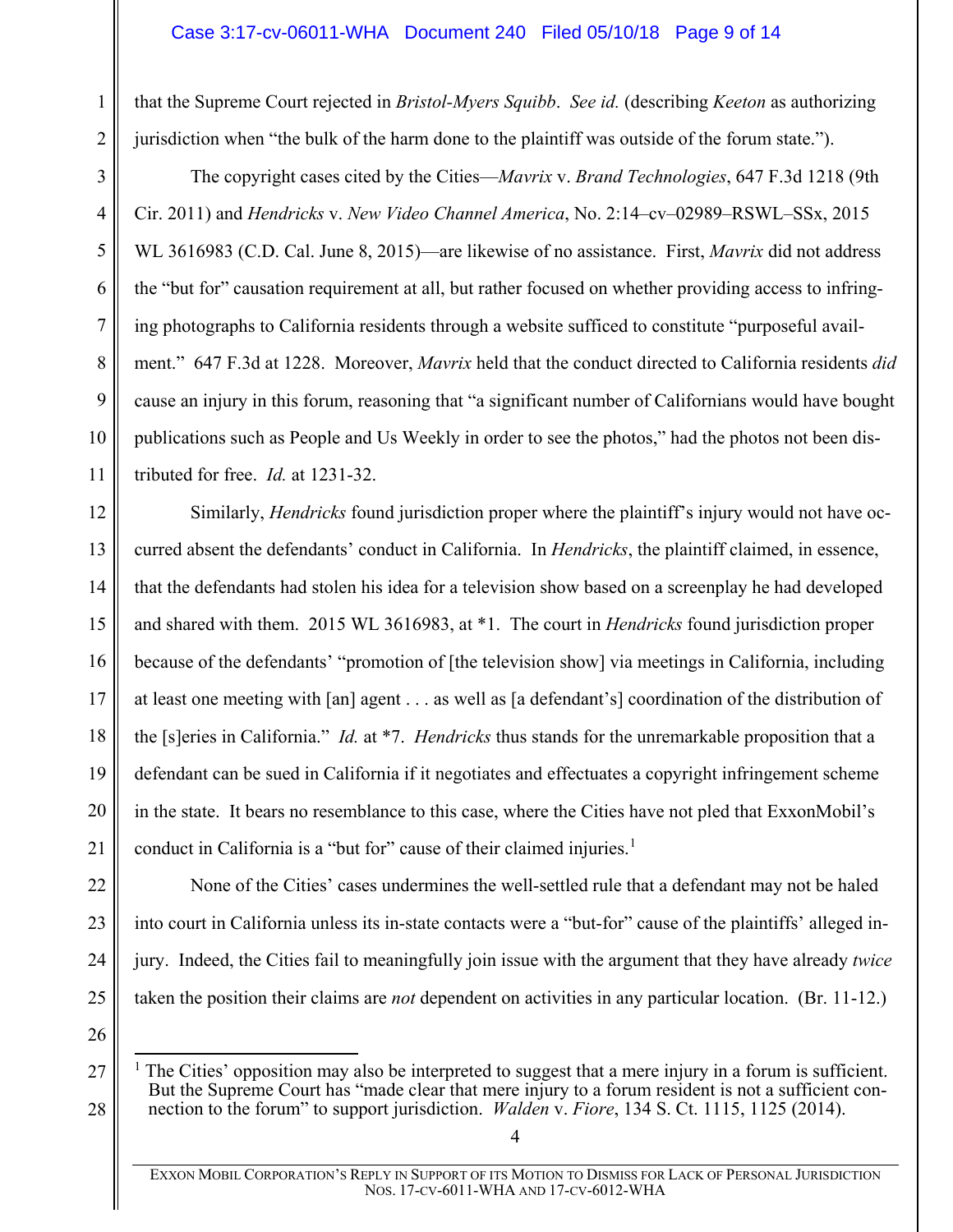# <span id="page-8-1"></span>Case 3:17-cv-06011-WHA Document 240 Filed 05/10/18 Page 9 of 14

that the Supreme Court rejected in *Bristol-Myers Squibb*. *See id.* (describing *Keeton* as authorizing jurisdiction when "the bulk of the harm done to the plaintiff was outside of the forum state.").

<span id="page-8-0"></span>The copyright cases cited by the Cities—*Mavrix* v. *Brand Technologies*, 647 F.3d 1218 (9th Cir. 2011) and *Hendricks* v. *New Video Channel America*, No. 2:14–cv–02989–RSWL–SSx, 2015 WL 3616983 (C.D. Cal. June 8, 2015)—are likewise of no assistance. First, *Mavrix* did not address the "but for" causation requirement at all, but rather focused on whether providing access to infringing photographs to California residents through a website sufficed to constitute "purposeful availment." 647 F.3d at 1228. Moreover, *Mavrix* held that the conduct directed to California residents *did* cause an injury in this forum, reasoning that "a significant number of Californians would have bought publications such as People and Us Weekly in order to see the photos," had the photos not been distributed for free. *Id.* at 1231-32.

12 13 14 15 16 17 18 19 20 21 Similarly, *Hendricks* found jurisdiction proper where the plaintiff's injury would not have occurred absent the defendants' conduct in California. In *Hendricks*, the plaintiff claimed, in essence, that the defendants had stolen his idea for a television show based on a screenplay he had developed and shared with them. 2015 WL 3616983, at \*1. The court in *Hendricks* found jurisdiction proper because of the defendants' "promotion of [the television show] via meetings in California, including at least one meeting with [an] agent . . . as well as [a defendant's] coordination of the distribution of the [s]eries in California." *Id.* at \*7. *Hendricks* thus stands for the unremarkable proposition that a defendant can be sued in California if it negotiates and effectuates a copyright infringement scheme in the state. It bears no resemblance to this case, where the Cities have not pled that ExxonMobil's conduct in California is a "but for" cause of their claimed injuries.<sup>[1](#page-8-3)</sup>

None of the Cities' cases undermines the well-settled rule that a defendant may not be haled into court in California unless its in-state contacts were a "but-for" cause of the plaintiffs' alleged injury. Indeed, the Cities fail to meaningfully join issue with the argument that they have already *twice*  taken the position their claims are *not* dependent on activities in any particular location. (Br. 11-12.)

26

<span id="page-8-3"></span>27

28

22

23

24

25

1

2

3

4

5

6

7

8

9

10

<span id="page-8-2"></span> $<sup>1</sup>$  The Cities' opposition may also be interpreted to suggest that a mere injury in a forum is sufficient.</sup> But the Supreme Court has "made clear that mere injury to a forum resident is not a sufficient connection to the forum" to support jurisdiction. *Walden* v. *Fiore*, 134 S. Ct. 1115, 1125 (2014).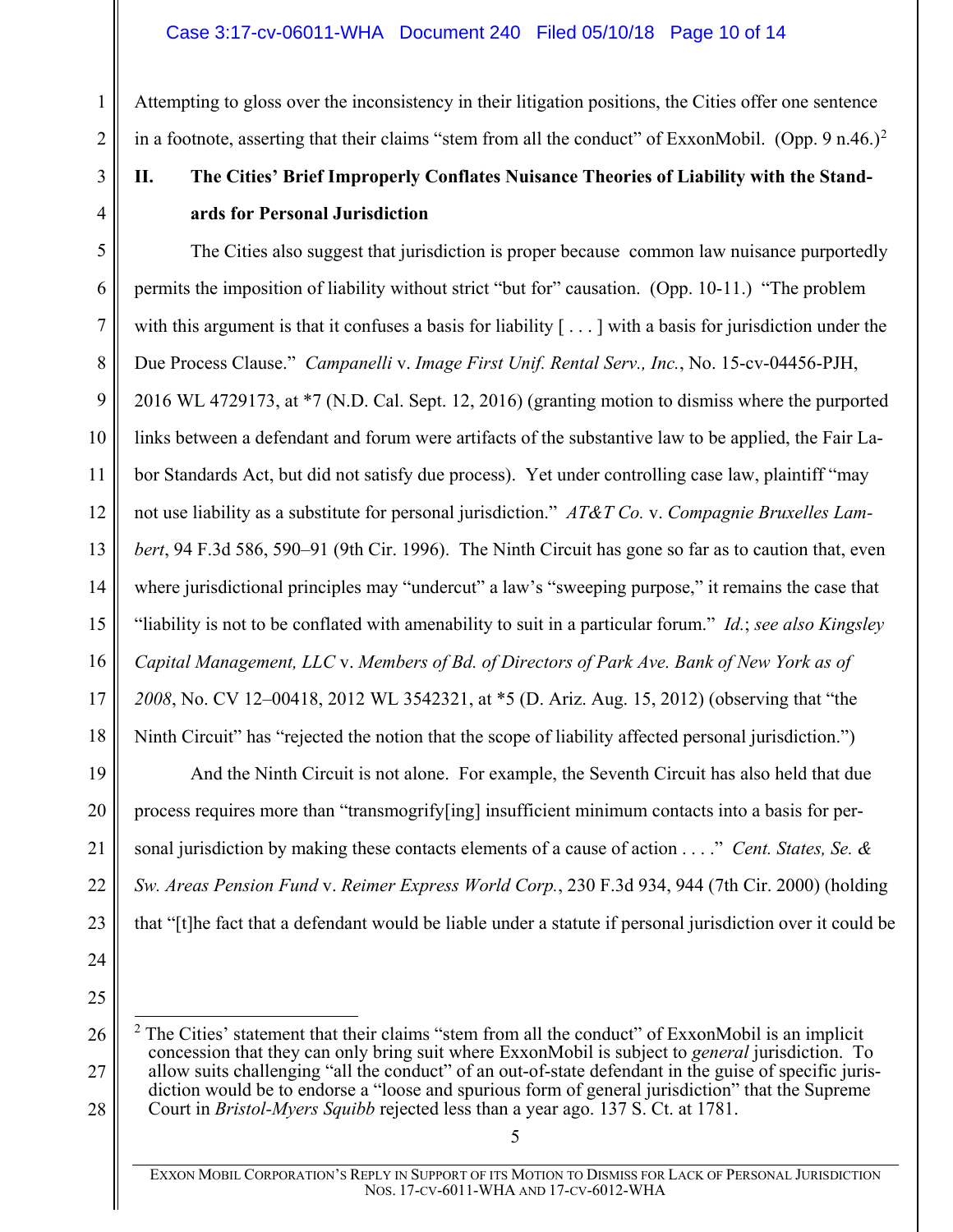Attempting to gloss over the inconsistency in their litigation positions, the Cities offer one sentence in a footnote, asserting that their claims "stem from all the conduct" of ExxonMobil. (Opp. 9 n.46.)<sup>[2](#page-9-6)</sup>

# <span id="page-9-0"></span>**II. The Cities' Brief Improperly Conflates Nuisance Theories of Liability with the Standards for Personal Jurisdiction**

<span id="page-9-3"></span>5 6 7 8 9 10 11 12 13 The Cities also suggest that jurisdiction is proper because common law nuisance purportedly permits the imposition of liability without strict "but for" causation. (Opp. 10-11.) "The problem with this argument is that it confuses a basis for liability  $[\,\dots]$  with a basis for jurisdiction under the Due Process Clause." *Campanelli* v. *Image First Unif. Rental Serv., Inc.*, No. 15-cv-04456-PJH, 2016 WL 4729173, at \*7 (N.D. Cal. Sept. 12, 2016) (granting motion to dismiss where the purported links between a defendant and forum were artifacts of the substantive law to be applied, the Fair Labor Standards Act, but did not satisfy due process). Yet under controlling case law, plaintiff "may not use liability as a substitute for personal jurisdiction." *AT&T Co.* v. *Compagnie Bruxelles Lambert*, 94 F.3d 586, 590–91 (9th Cir. 1996). The Ninth Circuit has gone so far as to caution that, even where jurisdictional principles may "undercut" a law's "sweeping purpose," it remains the case that "liability is not to be conflated with amenability to suit in a particular forum." *Id.*; *see also Kingsley Capital Management, LLC* v. *Members of Bd. of Directors of Park Ave. Bank of New York as of 2008*, No. CV 12–00418, 2012 WL 3542321, at \*5 (D. Ariz. Aug. 15, 2012) (observing that "the Ninth Circuit" has "rejected the notion that the scope of liability affected personal jurisdiction.")

<span id="page-9-1"></span>And the Ninth Circuit is not alone. For example, the Seventh Circuit has also held that due process requires more than "transmogrify[ing] insufficient minimum contacts into a basis for personal jurisdiction by making these contacts elements of a cause of action . . . ." *Cent. States, Se. & Sw. Areas Pension Fund* v. *Reimer Express World Corp.*, 230 F.3d 934, 944 (7th Cir. 2000) (holding that "[t]he fact that a defendant would be liable under a statute if personal jurisdiction over it could be

<span id="page-9-6"></span><sup>2</sup> The Cities' statement that their claims "stem from all the conduct" of ExxonMobil is an implicit concession that they can only bring suit where ExxonMobil is subject to *general* jurisdiction. To allow suits challenging "all the conduct" of an out-of-state defendant in the guise of specific jurisdiction would be to endorse a "loose and spurious form of general jurisdiction" that the Supreme Court in *Bristol-Myers Squibb* rejected less than a year ago. 137 S. Ct. at 1781.

<span id="page-9-5"></span><span id="page-9-4"></span><span id="page-9-2"></span>5

1

2

3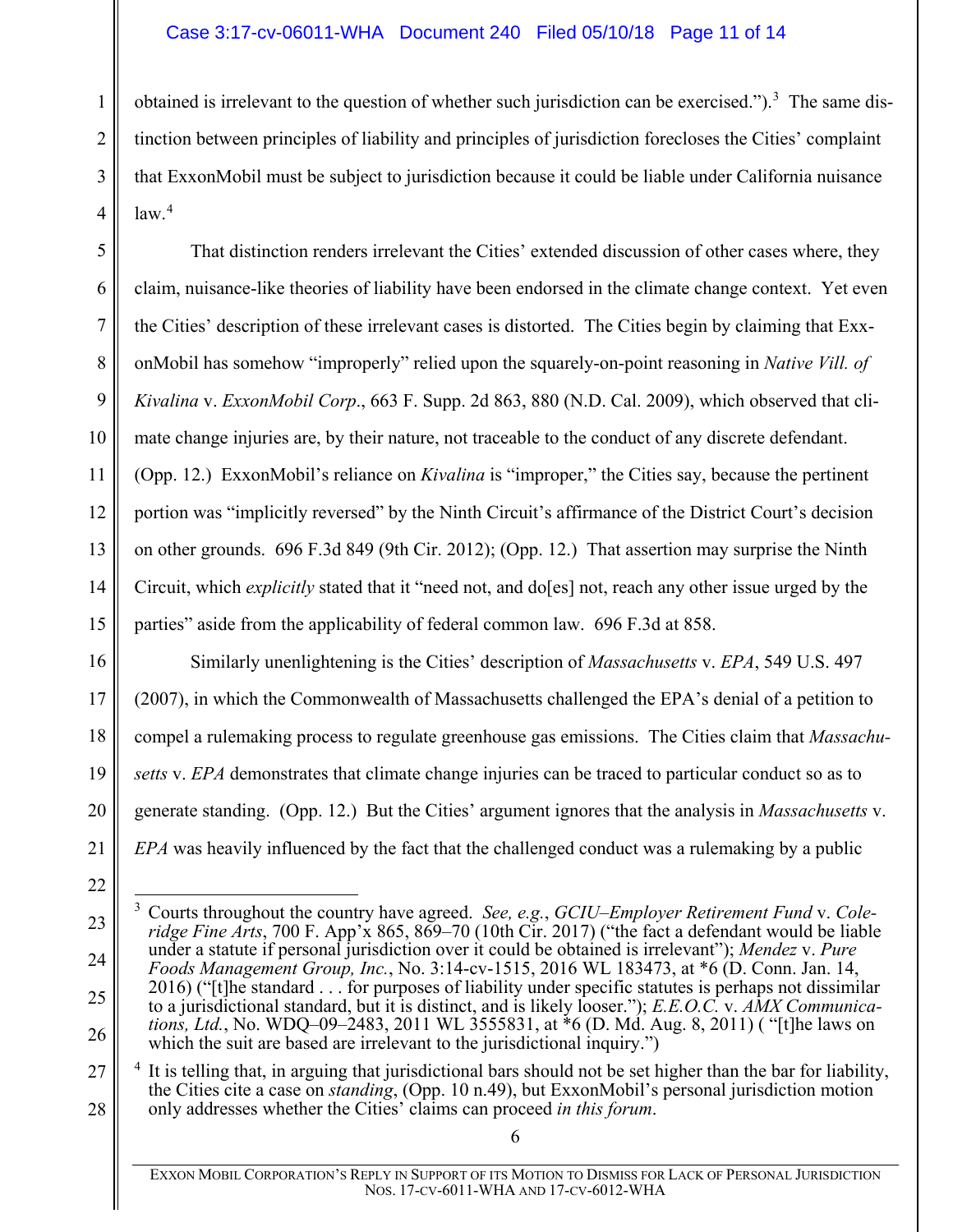# <span id="page-10-4"></span>Case 3:17-cv-06011-WHA Document 240 Filed 05/10/18 Page 11 of 14

1

2

3

4

15

16

17

18

19

20

21

22

obtained is irrelevant to the question of whether such jurisdiction can be exercised.").<sup>[3](#page-10-6)</sup> The same distinction between principles of liability and principles of jurisdiction forecloses the Cities' complaint that ExxonMobil must be subject to jurisdiction because it could be liable under California nuisance law.<sup>[4](#page-10-7)</sup>

5 6 7 8 9 10 11 12 13 14 That distinction renders irrelevant the Cities' extended discussion of other cases where, they claim, nuisance-like theories of liability have been endorsed in the climate change context. Yet even the Cities' description of these irrelevant cases is distorted. The Cities begin by claiming that ExxonMobil has somehow "improperly" relied upon the squarely-on-point reasoning in *Native Vill. of Kivalina* v. *ExxonMobil Corp*., 663 F. Supp. 2d 863, 880 (N.D. Cal. 2009), which observed that climate change injuries are, by their nature, not traceable to the conduct of any discrete defendant. (Opp. 12.) ExxonMobil's reliance on *Kivalina* is "improper," the Cities say, because the pertinent portion was "implicitly reversed" by the Ninth Circuit's affirmance of the District Court's decision on other grounds. 696 F.3d 849 (9th Cir. 2012); (Opp. 12.) That assertion may surprise the Ninth Circuit, which *explicitly* stated that it "need not, and do[es] not, reach any other issue urged by the

<span id="page-10-5"></span><span id="page-10-2"></span>parties" aside from the applicability of federal common law. 696 F.3d at 858.

Similarly unenlightening is the Cities' description of *Massachusetts* v. *EPA*, 549 U.S. 497 (2007), in which the Commonwealth of Massachusetts challenged the EPA's denial of a petition to compel a rulemaking process to regulate greenhouse gas emissions. The Cities claim that *Massachusetts* v. *EPA* demonstrates that climate change injuries can be traced to particular conduct so as to generate standing. (Opp. 12.) But the Cities' argument ignores that the analysis in *Massachusetts* v. *EPA* was heavily influenced by the fact that the challenged conduct was a rulemaking by a public

<span id="page-10-7"></span>27 28 It is telling that, in arguing that jurisdictional bars should not be set higher than the bar for liability, the Cities cite a case on *standing*, (Opp. 10 n.49), but ExxonMobil's personal jurisdiction motion only addresses whether the Cities' claims can proceed *in this forum*.

<span id="page-10-6"></span><span id="page-10-1"></span><sup>23</sup> 24 25 26 3 Courts throughout the country have agreed. *See, e.g.*, *GCIU–Employer Retirement Fund* v. *Coleridge Fine Arts*, 700 F. App'x 865, 869–70 (10th Cir. 2017) ("the fact a defendant would be liable under a statute if personal jurisdiction over it could be obtained is irrelevant"); *Mendez* v. *Pure Foods Management Group, Inc.*, No. 3:14-cv-1515, 2016 WL 183473, at \*6 (D. Conn. Jan. 14, 2016) ("[t]he standard . . . for purposes of liability under specific statutes is perhaps not dissimilar to a jurisdictional standard, but it is distinct, and is likely looser."); *E.E.O.C.* v. *AMX Communications, Ltd.*, No. WDQ–09–2483, 2011 WL 3555831, at \*6 (D. Md. Aug. 8, 2011) ( "[t]he laws on which the suit are based are irrelevant to the jurisdictional inquiry.")

<span id="page-10-3"></span><span id="page-10-0"></span>EXXON MOBIL CORPORATION'S REPLY IN SUPPORT OF ITS MOTION TO DISMISS FOR LACK OF PERSONAL JURISDICTION NOS. 17-CV-6011-WHA AND 17-CV-6012-WHA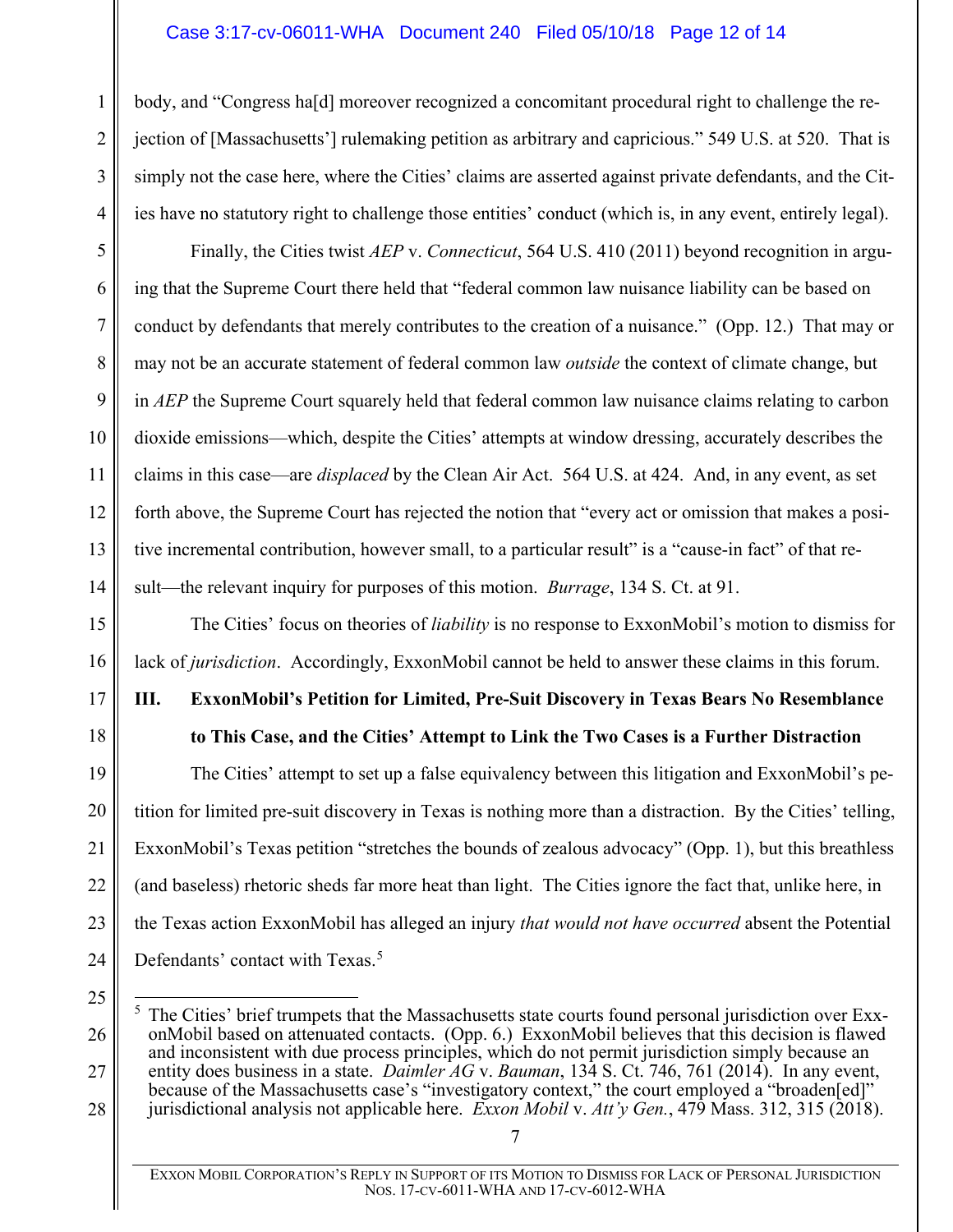# <span id="page-11-5"></span>Case 3:17-cv-06011-WHA Document 240 Filed 05/10/18 Page 12 of 14

body, and "Congress ha[d] moreover recognized a concomitant procedural right to challenge the rejection of [Massachusetts'] rulemaking petition as arbitrary and capricious." 549 U.S. at 520. That is simply not the case here, where the Cities' claims are asserted against private defendants, and the Cities have no statutory right to challenge those entities' conduct (which is, in any event, entirely legal).

<span id="page-11-1"></span>Finally, the Cities twist *AEP* v. *Connecticut*, 564 U.S. 410 (2011) beyond recognition in arguing that the Supreme Court there held that "federal common law nuisance liability can be based on conduct by defendants that merely contributes to the creation of a nuisance." (Opp. 12.) That may or may not be an accurate statement of federal common law *outside* the context of climate change, but in *AEP* the Supreme Court squarely held that federal common law nuisance claims relating to carbon dioxide emissions—which, despite the Cities' attempts at window dressing, accurately describes the claims in this case—are *displaced* by the Clean Air Act. 564 U.S. at 424. And, in any event, as set forth above, the Supreme Court has rejected the notion that "every act or omission that makes a positive incremental contribution, however small, to a particular result" is a "cause-in fact" of that result—the relevant inquiry for purposes of this motion. *Burrage*, 134 S. Ct. at 91.

<span id="page-11-2"></span>The Cities' focus on theories of *liability* is no response to ExxonMobil's motion to dismiss for lack of *jurisdiction*. Accordingly, ExxonMobil cannot be held to answer these claims in this forum.

# <span id="page-11-0"></span>**III. ExxonMobil's Petition for Limited, Pre-Suit Discovery in Texas Bears No Resemblance to This Case, and the Cities' Attempt to Link the Two Cases is a Further Distraction**

The Cities' attempt to set up a false equivalency between this litigation and ExxonMobil's petition for limited pre-suit discovery in Texas is nothing more than a distraction. By the Cities' telling, ExxonMobil's Texas petition "stretches the bounds of zealous advocacy" (Opp. 1), but this breathless (and baseless) rhetoric sheds far more heat than light. The Cities ignore the fact that, unlike here, in the Texas action ExxonMobil has alleged an injury *that would not have occurred* absent the Potential Defendants' contact with Texas.<sup>[5](#page-11-6)</sup>

25

<span id="page-11-6"></span>26

27

28

1

2

3

4

5

6

7

8

9

10

11

12

13

14

15

16

17

18

19

20

21

22

23

24

<span id="page-11-4"></span><span id="page-11-3"></span><sup>&</sup>lt;sup>5</sup> The Cities' brief trumpets that the Massachusetts state courts found personal jurisdiction over ExxonMobil based on attenuated contacts. (Opp. 6.) ExxonMobil believes that this decision is flawed and inconsistent with due process principles, which do not permit jurisdiction simply because an entity does business in a state. *Daimler AG* v. *Bauman*, 134 S. Ct. 746, 761 (2014). In any event, because of the Massachusetts case's "investigatory context," the court employed a "broaden[ed]" jurisdictional analysis not applicable here. *Exxon Mobil* v. *Att'y Gen.*, 479 Mass. 312, 315 (2018).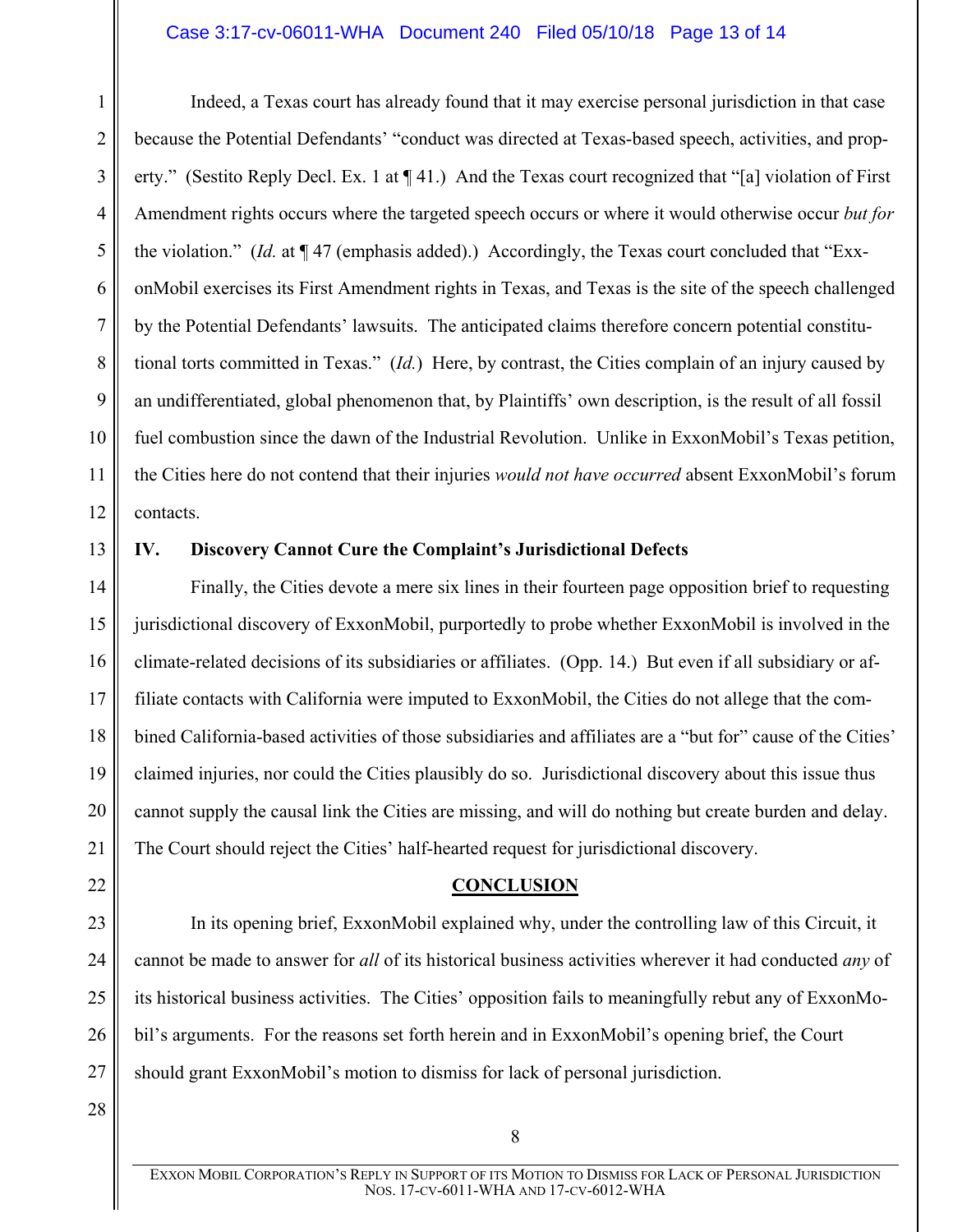#### Case 3:17-cv-06011-WHA Document 240 Filed 05/10/18 Page 13 of 14

1 2 3 4 5 6 7 8 9 10 11 12 Indeed, a Texas court has already found that it may exercise personal jurisdiction in that case because the Potential Defendants' "conduct was directed at Texas-based speech, activities, and property." (Sestito Reply Decl. Ex. 1 at ¶ 41.) And the Texas court recognized that "[a] violation of First Amendment rights occurs where the targeted speech occurs or where it would otherwise occur *but for* the violation." (*Id.* at ¶ 47 (emphasis added).) Accordingly, the Texas court concluded that "ExxonMobil exercises its First Amendment rights in Texas, and Texas is the site of the speech challenged by the Potential Defendants' lawsuits. The anticipated claims therefore concern potential constitutional torts committed in Texas." (*Id.*) Here, by contrast, the Cities complain of an injury caused by an undifferentiated, global phenomenon that, by Plaintiffs' own description, is the result of all fossil fuel combustion since the dawn of the Industrial Revolution. Unlike in ExxonMobil's Texas petition, the Cities here do not contend that their injuries *would not have occurred* absent ExxonMobil's forum contacts.

13

# <span id="page-12-0"></span>**IV. Discovery Cannot Cure the Complaint's Jurisdictional Defects**

14 15 16 17 18 19 20 21 Finally, the Cities devote a mere six lines in their fourteen page opposition brief to requesting jurisdictional discovery of ExxonMobil, purportedly to probe whether ExxonMobil is involved in the climate-related decisions of its subsidiaries or affiliates. (Opp. 14.) But even if all subsidiary or affiliate contacts with California were imputed to ExxonMobil, the Cities do not allege that the combined California-based activities of those subsidiaries and affiliates are a "but for" cause of the Cities' claimed injuries, nor could the Cities plausibly do so. Jurisdictional discovery about this issue thus cannot supply the causal link the Cities are missing, and will do nothing but create burden and delay. The Court should reject the Cities' half-hearted request for jurisdictional discovery.

**CONCLUSION**

<span id="page-12-1"></span>23 24 25 26 27 In its opening brief, ExxonMobil explained why, under the controlling law of this Circuit, it cannot be made to answer for *all* of its historical business activities wherever it had conducted *any* of its historical business activities. The Cities' opposition fails to meaningfully rebut any of ExxonMobil's arguments. For the reasons set forth herein and in ExxonMobil's opening brief, the Court should grant ExxonMobil's motion to dismiss for lack of personal jurisdiction.

28

EXXON MOBIL CORPORATION'S REPLY IN SUPPORT OF ITS MOTION TO DISMISS FOR LACK OF PERSONAL JURISDICTION NOS. 17-CV-6011-WHA AND 17-CV-6012-WHA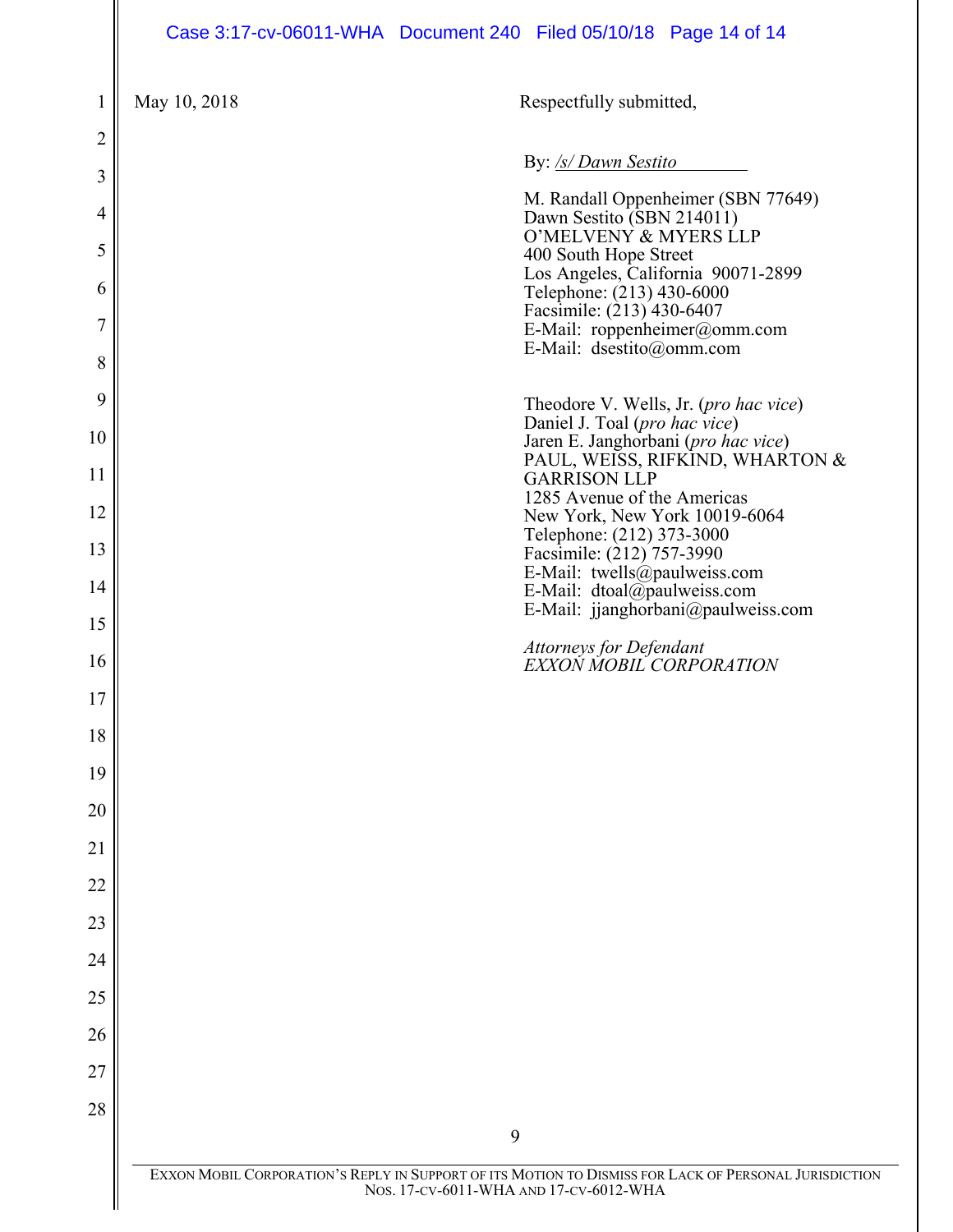# Case 3:17-cv-06011-WHA Document 240 Filed 05/10/18 Page 14 of 14

| 1              | May 10, 2018 | Respectfully submitted,                                                                                                                         |
|----------------|--------------|-------------------------------------------------------------------------------------------------------------------------------------------------|
| 2              |              |                                                                                                                                                 |
| 3              |              | By: /s/ Dawn Sestito                                                                                                                            |
| $\overline{4}$ |              | M. Randall Oppenheimer (SBN 77649)<br>Dawn Sestito (SBN 214011)<br>O'MELVENY & MYERS LLP                                                        |
| 5<br>6         |              | 400 South Hope Street<br>Los Angeles, California 90071-2899<br>Telephone: (213) 430-6000                                                        |
| 7              |              | Facsimile: (213) 430-6407<br>E-Mail: roppenheimer@omm.com                                                                                       |
| 8              |              | E-Mail: dsestito@omm.com                                                                                                                        |
| 9              |              | Theodore V. Wells, Jr. ( <i>pro hac vice</i> )<br>Daniel J. Toal (pro hac vice)                                                                 |
| 10<br>11       |              | Jaren E. Janghorbani (pro hac vice)<br>PAUL, WEISS, RIFKIND, WHARTON &<br><b>GARRISON LLP</b>                                                   |
| 12             |              | 1285 Avenue of the Americas<br>New York, New York 10019-6064                                                                                    |
| 13             |              | Telephone: (212) 373-3000<br>Facsimile: (212) 757-3990<br>E-Mail: twells@paulweiss.com                                                          |
| 14<br>15       |              | E-Mail: dtoal@paulweiss.com<br>E-Mail: jjanghorbani@paulweiss.com                                                                               |
| 16             |              | <b>Attorneys for Defendant</b><br>EXXON MOBIL CORPORATION                                                                                       |
| 17             |              |                                                                                                                                                 |
| 18             |              |                                                                                                                                                 |
| 19<br>20       |              |                                                                                                                                                 |
| 21             |              |                                                                                                                                                 |
| 22             |              |                                                                                                                                                 |
| 23             |              |                                                                                                                                                 |
| 24<br>25       |              |                                                                                                                                                 |
| 26             |              |                                                                                                                                                 |
| 27             |              |                                                                                                                                                 |
| 28             |              | 9                                                                                                                                               |
|                |              | EXXON MOBIL CORPORATION'S REPLY IN SUPPORT OF ITS MOTION TO DISMISS FOR LACK OF PERSONAL JURISDICTION<br>Nos. 17-CV-6011-WHA AND 17-CV-6012-WHA |
|                |              |                                                                                                                                                 |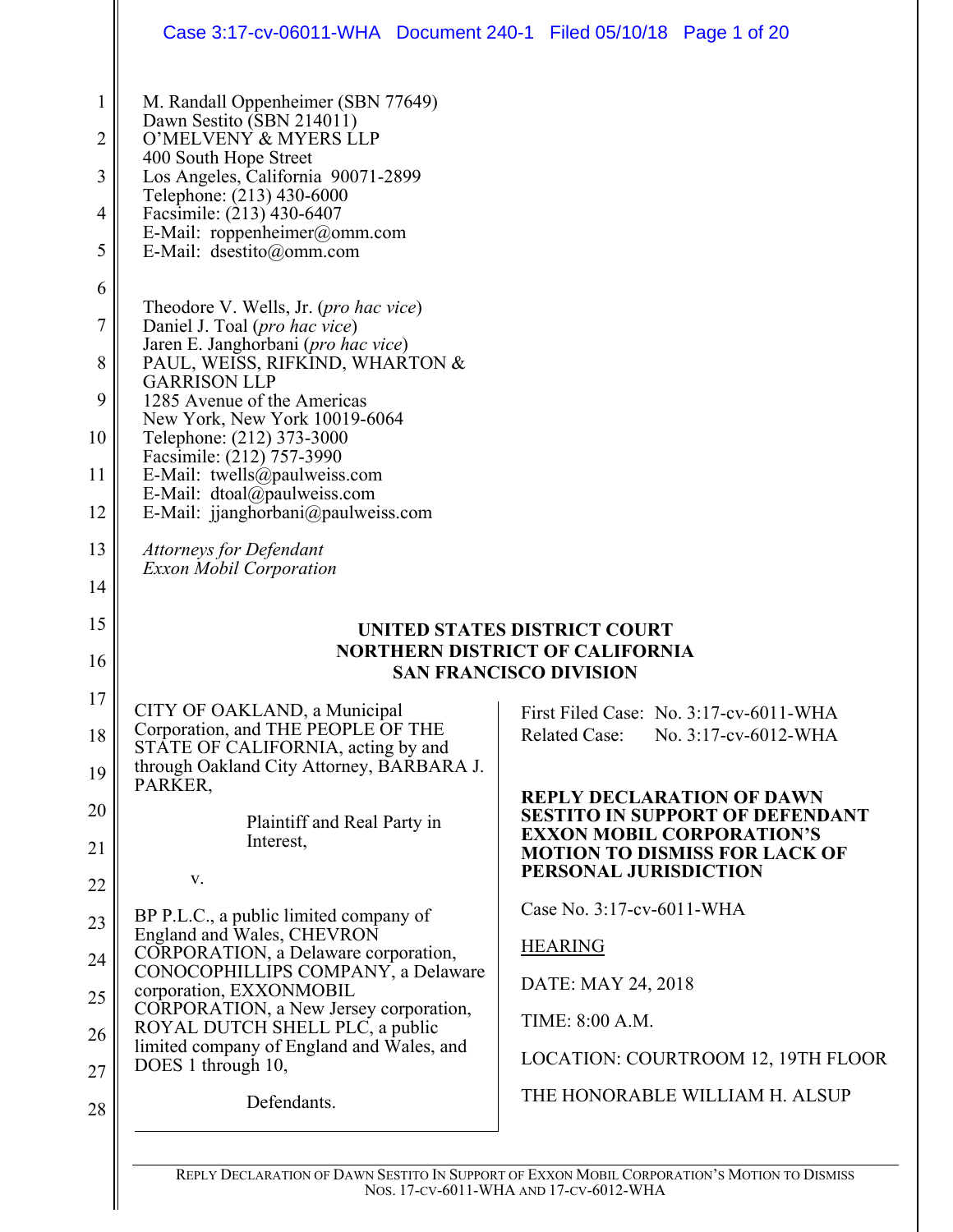|                                    | Case 3:17-cv-06011-WHA Document 240-1 Filed 05/10/18 Page 1 of 20                                                                                                                                                                                                                                                                                                                                               |                                                                                                                                                                                                                                                                                                        |  |
|------------------------------------|-----------------------------------------------------------------------------------------------------------------------------------------------------------------------------------------------------------------------------------------------------------------------------------------------------------------------------------------------------------------------------------------------------------------|--------------------------------------------------------------------------------------------------------------------------------------------------------------------------------------------------------------------------------------------------------------------------------------------------------|--|
| 1<br>2<br>3<br>4<br>5              | M. Randall Oppenheimer (SBN 77649)<br>Dawn Sestito (SBN 214011)<br>O'MELVENY & MYERS LLP<br>400 South Hope Street<br>Los Angeles, California 90071-2899<br>Telephone: (213) 430-6000<br>Facsimile: (213) 430-6407<br>E-Mail: roppenheimer@omm.com<br>E-Mail: dsestito@omm.com                                                                                                                                   |                                                                                                                                                                                                                                                                                                        |  |
| 6<br>7<br>8<br>9<br>10<br>11<br>12 | Theodore V. Wells, Jr. ( <i>pro hac vice</i> )<br>Daniel J. Toal (pro hac vice)<br>Jaren E. Janghorbani (pro hac vice)<br>PAUL, WEISS, RIFKIND, WHARTON &<br><b>GARRISON LLP</b><br>1285 Avenue of the Americas<br>New York, New York 10019-6064<br>Telephone: (212) 373-3000<br>Facsimile: (212) 757-3990<br>E-Mail: twells@paulweiss.com<br>E-Mail: dtoal@paulweiss.com<br>E-Mail: jjanghorbani@paulweiss.com |                                                                                                                                                                                                                                                                                                        |  |
| 13<br>14                           | <b>Attorneys for Defendant</b><br><b>Exxon Mobil Corporation</b>                                                                                                                                                                                                                                                                                                                                                |                                                                                                                                                                                                                                                                                                        |  |
| 15<br>16                           | UNITED STATES DISTRICT COURT<br><b>NORTHERN DISTRICT OF CALIFORNIA</b><br><b>SAN FRANCISCO DIVISION</b>                                                                                                                                                                                                                                                                                                         |                                                                                                                                                                                                                                                                                                        |  |
| 17<br>18<br>19<br>20<br>21<br>22   | CITY OF OAKLAND, a Municipal<br>Corporation, and THE PEOPLE OF THE<br>STATE OF CALIFORNIA, acting by and<br>through Oakland City Attorney, BARBARA J.<br>PARKER,<br>Plaintiff and Real Party in<br>Interest,<br>V.                                                                                                                                                                                              | First Filed Case: No. 3:17-cv-6011-WHA<br><b>Related Case:</b><br>No. 3:17-cv-6012-WHA<br><b>REPLY DECLARATION OF DAWN</b><br><b>SESTITO IN SUPPORT OF DEFENDANT</b><br><b>EXXON MOBIL CORPORATION'S</b><br><b>MOTION TO DISMISS FOR LACK OF</b><br>PERSONAL JURISDICTION<br>Case No. 3:17-cv-6011-WHA |  |
| 23<br>24<br>25<br>26<br>27         | BP P.L.C., a public limited company of<br>England and Wales, CHEVRON<br>CORPORATION, a Delaware corporation,<br>CONOCOPHILLIPS COMPANY, a Delaware<br>corporation, EXXONMOBIL<br>CORPORATION, a New Jersey corporation,<br>ROYAL DUTCH SHELL PLC, a public<br>limited company of England and Wales, and<br>DOES 1 through 10,                                                                                   | <b>HEARING</b><br>DATE: MAY 24, 2018<br>TIME: 8:00 A.M.<br>LOCATION: COURTROOM 12, 19TH FLOOR                                                                                                                                                                                                          |  |
| 28                                 | Defendants.                                                                                                                                                                                                                                                                                                                                                                                                     | THE HONORABLE WILLIAM H. ALSUP                                                                                                                                                                                                                                                                         |  |

REPLY DECLARATION OF DAWN SESTITO IN SUPPORT OF EXXON MOBIL CORPORATION'S MOTION TO DISMISS NOS. 17-CV-6011-WHA AND 17-CV-6012-WHA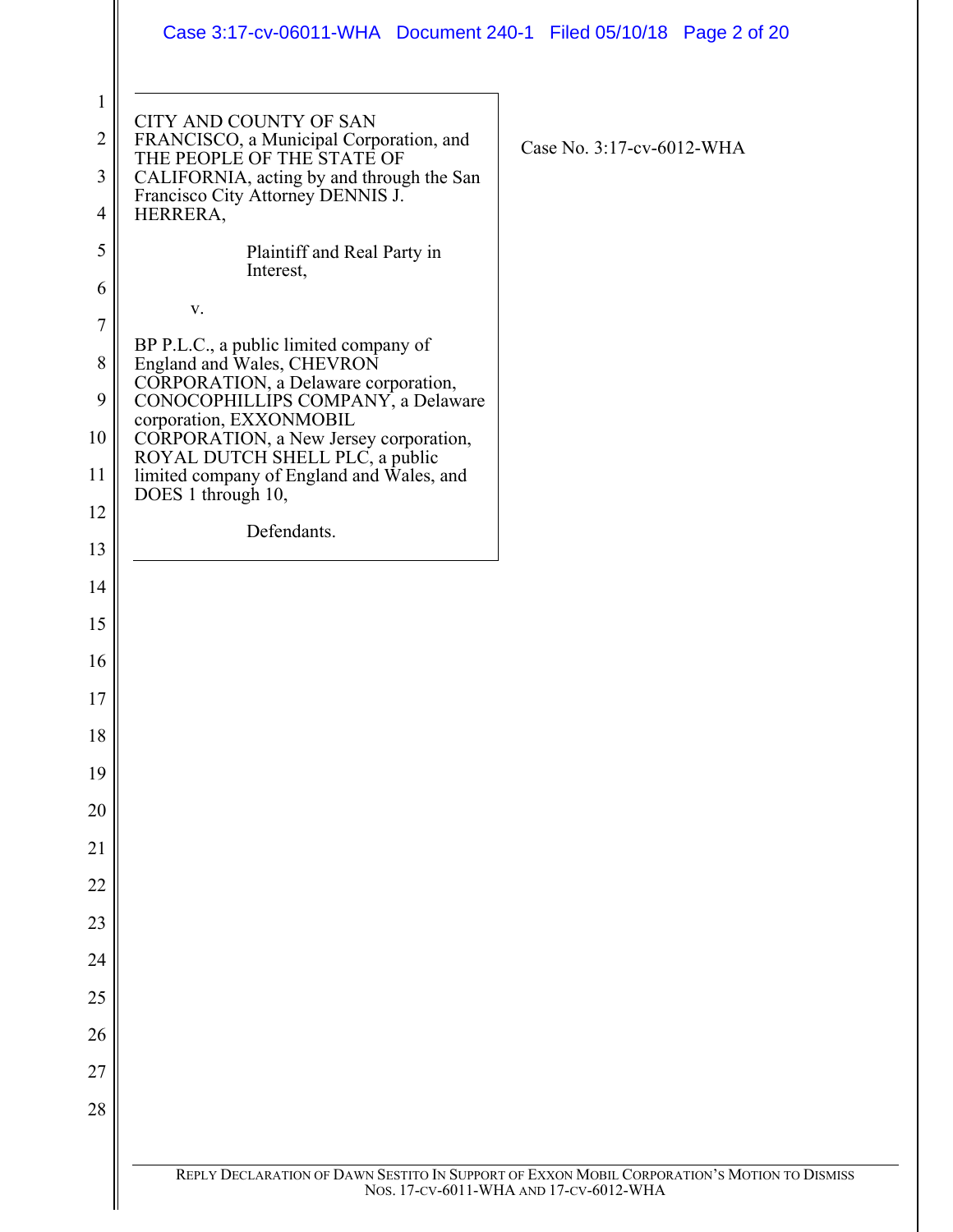|                | Case 3:17-cv-06011-WHA  Document 240-1  Filed 05/10/18  Page 2 of 20                                                                  |  |
|----------------|---------------------------------------------------------------------------------------------------------------------------------------|--|
| $\mathbf{1}$   |                                                                                                                                       |  |
| $\overline{2}$ | CITY AND COUNTY OF SAN<br>FRANCISCO, a Municipal Corporation, and<br>THE PEOPLE OF THE STATE OF<br>Case No. 3:17-cv-6012-WHA          |  |
| 3              | CALIFORNIA, acting by and through the San<br>Francisco City Attorney DENNIS J.                                                        |  |
| 4<br>5         | HERRERA,<br>Plaintiff and Real Party in                                                                                               |  |
| 6              | Interest,                                                                                                                             |  |
| $\overline{7}$ | $\mathbf{V}$ .                                                                                                                        |  |
| 8              | BP P.L.C., a public limited company of<br>England and Wales, CHEVRON                                                                  |  |
| 9              | CORPORATION, a Delaware corporation,<br>CONOCOPHILLIPS COMPANY, a Delaware                                                            |  |
| 10             | corporation, EXXONMOBIL<br>CORPORATION, a New Jersey corporation,                                                                     |  |
| 11             | ROYAL DUTCH SHELL PLC, a public<br>limited company of England and Wales, and<br>DOES 1 through 10,                                    |  |
| 12             | Defendants.                                                                                                                           |  |
| 13             |                                                                                                                                       |  |
| 14             |                                                                                                                                       |  |
| 15             |                                                                                                                                       |  |
| 16             |                                                                                                                                       |  |
| 17             |                                                                                                                                       |  |
| 18             |                                                                                                                                       |  |
| 19             |                                                                                                                                       |  |
| 20<br>21       |                                                                                                                                       |  |
| 22             |                                                                                                                                       |  |
| 23             |                                                                                                                                       |  |
| 24             |                                                                                                                                       |  |
| 25             |                                                                                                                                       |  |
| 26             |                                                                                                                                       |  |
| 27             |                                                                                                                                       |  |
| 28             |                                                                                                                                       |  |
|                |                                                                                                                                       |  |
|                | REPLY DECLARATION OF DAWN SESTITO IN SUPPORT OF EXXON MOBIL CORPORATION'S MOTION TO DISMISS<br>Nos. 17-CV-6011-WHA AND 17-CV-6012-WHA |  |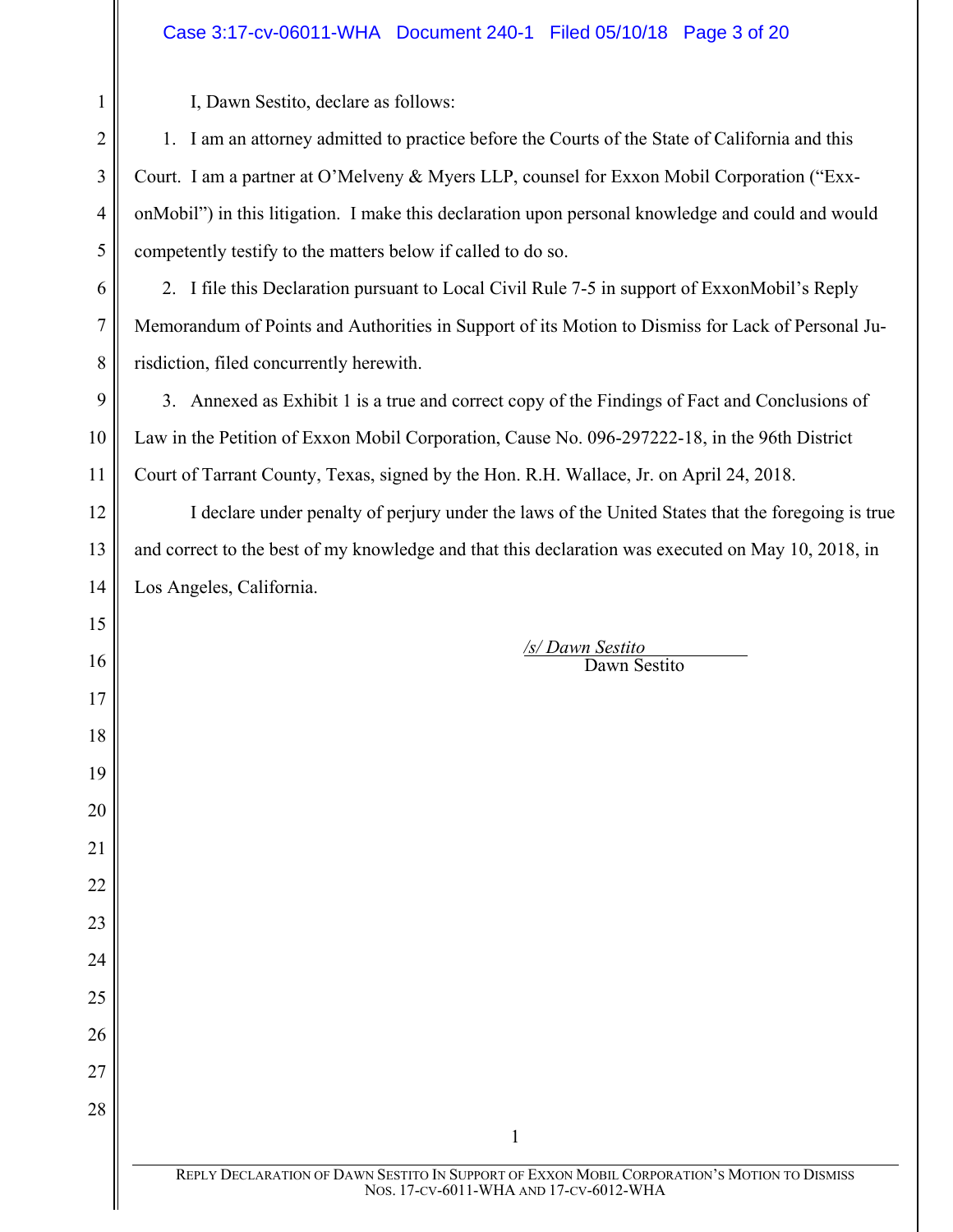# Case 3:17-cv-06011-WHA Document 240-1 Filed 05/10/18 Page 3 of 20

I, Dawn Sestito, declare as follows:

1. I am an attorney admitted to practice before the Courts of the State of California and this Court. I am a partner at O'Melveny & Myers LLP, counsel for Exxon Mobil Corporation ("ExxonMobil") in this litigation. I make this declaration upon personal knowledge and could and would competently testify to the matters below if called to do so.

2. I file this Declaration pursuant to Local Civil Rule 7-5 in support of ExxonMobil's Reply Memorandum of Points and Authorities in Support of its Motion to Dismiss for Lack of Personal Jurisdiction, filed concurrently herewith.

3. Annexed as Exhibit 1 is a true and correct copy of the Findings of Fact and Conclusions of Law in the Petition of Exxon Mobil Corporation, Cause No. 096-297222-18, in the 96th District Court of Tarrant County, Texas, signed by the Hon. R.H. Wallace, Jr. on April 24, 2018.

I declare under penalty of perjury under the laws of the United States that the foregoing is true and correct to the best of my knowledge and that this declaration was executed on May 10, 2018, in Los Angeles, California.

> */s/ Dawn Sestito* Dawn Sestito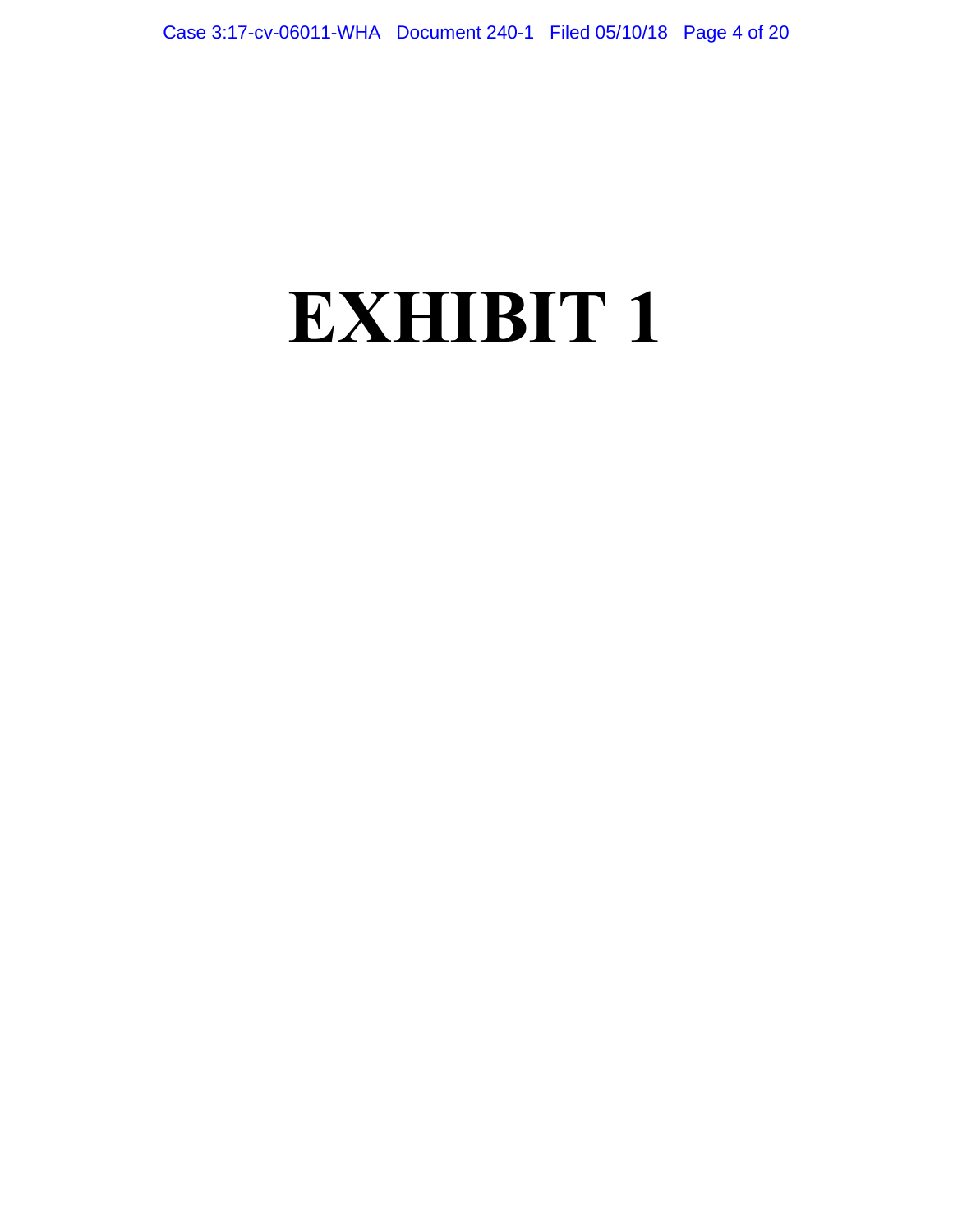# **EXHIBIT 1**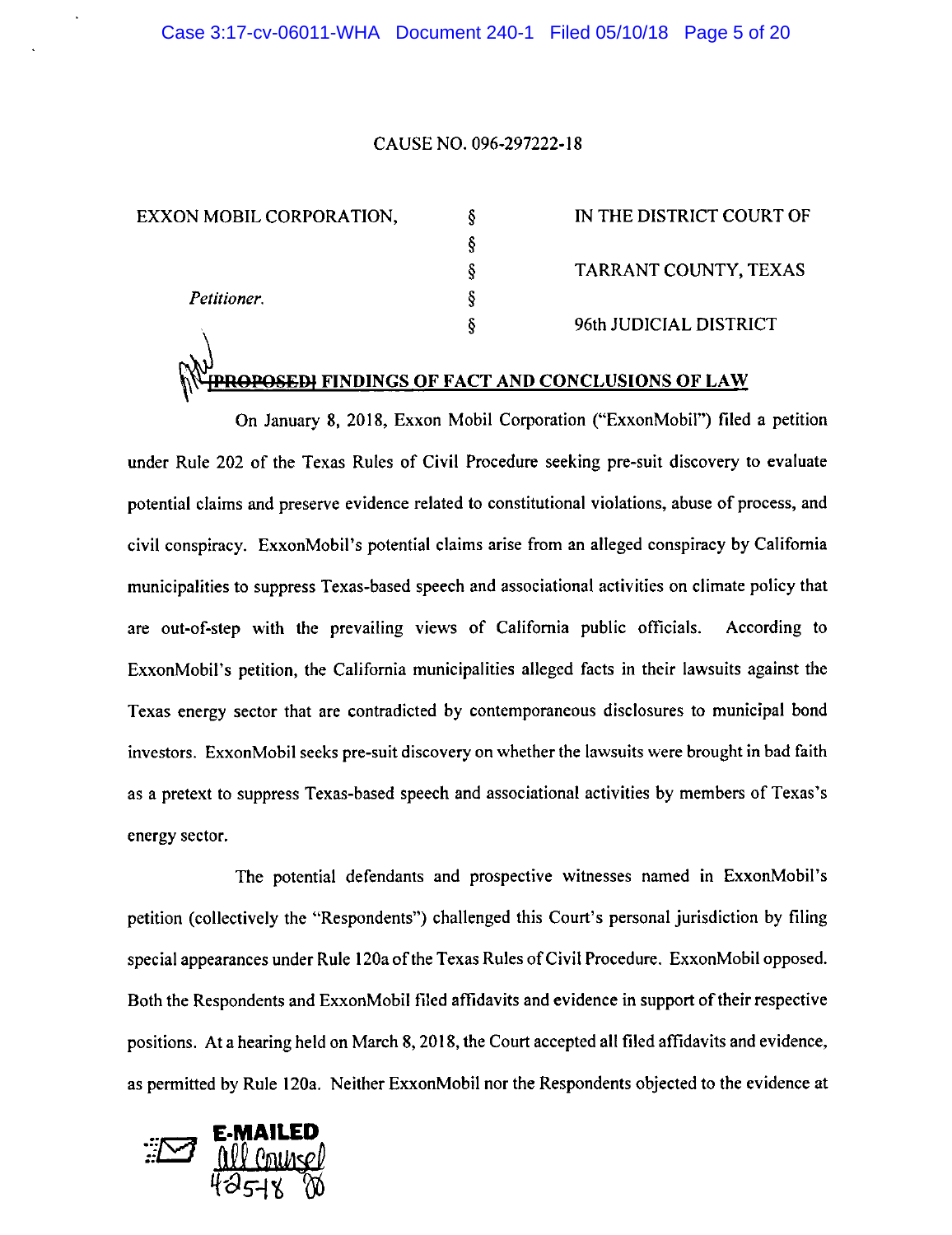#### CAUSE NO. 096-297222-18

*§ § § §* 

EXXON MOBIL CORPORATION, *§* 

*Petitioner.* 

IN THE DISTRICT COURT OF TARRANT COUNTY, TEXAS 96th JUDICIAL DISTRICT

# **FINDINGS OF FACT AND CONCLUSIONS OF LAW**

On January 8, 2018, Exxon Mobil Corporation ("ExxonMobil") filed a petition under Rule 202 of the Texas Rules of Civil Procedure seeking pre-suit discovery to evaluate potential claims and preserve evidence related to constitutional violations, abuse of process, and civil conspiracy. ExxonMobil's potential claims arise from an alleged conspiracy by California municipalities to suppress Texas-based speech and associational activities on climate policy that are out-of-step with the prevailing views of California public officials. According to ExxonMobil's petition, the California municipalities alleged facts in their lawsuits against the Texas energy sector that are contradicted by contemporaneous disclosures to municipal bond investors. ExxonMobil seeks pre-suit discovery on whether the lawsuits were brought in bad faith as a pretext to suppress Texas-based speech and associational activities by members of Texas's energy sector.

The potential defendants and prospective witnesses named in ExxonMobil's petition (collectively the "Respondents") challenged this Court's personal jurisdiction by filing special appearances under Rule 120a of the Texas Rules of Civil Procedure. ExxonMobil opposed. Both the Respondents and ExxonMobil filed affidavits and evidence in support of their respective positions. At a hearing held on March 8, 2018, the Court accepted all filed affidavits and evidence, as permitted by Rule 120a. Neither ExxonMobil nor the Respondents objected to the evidence at

**·:}{g E-MAILED**   $42.14$   $M$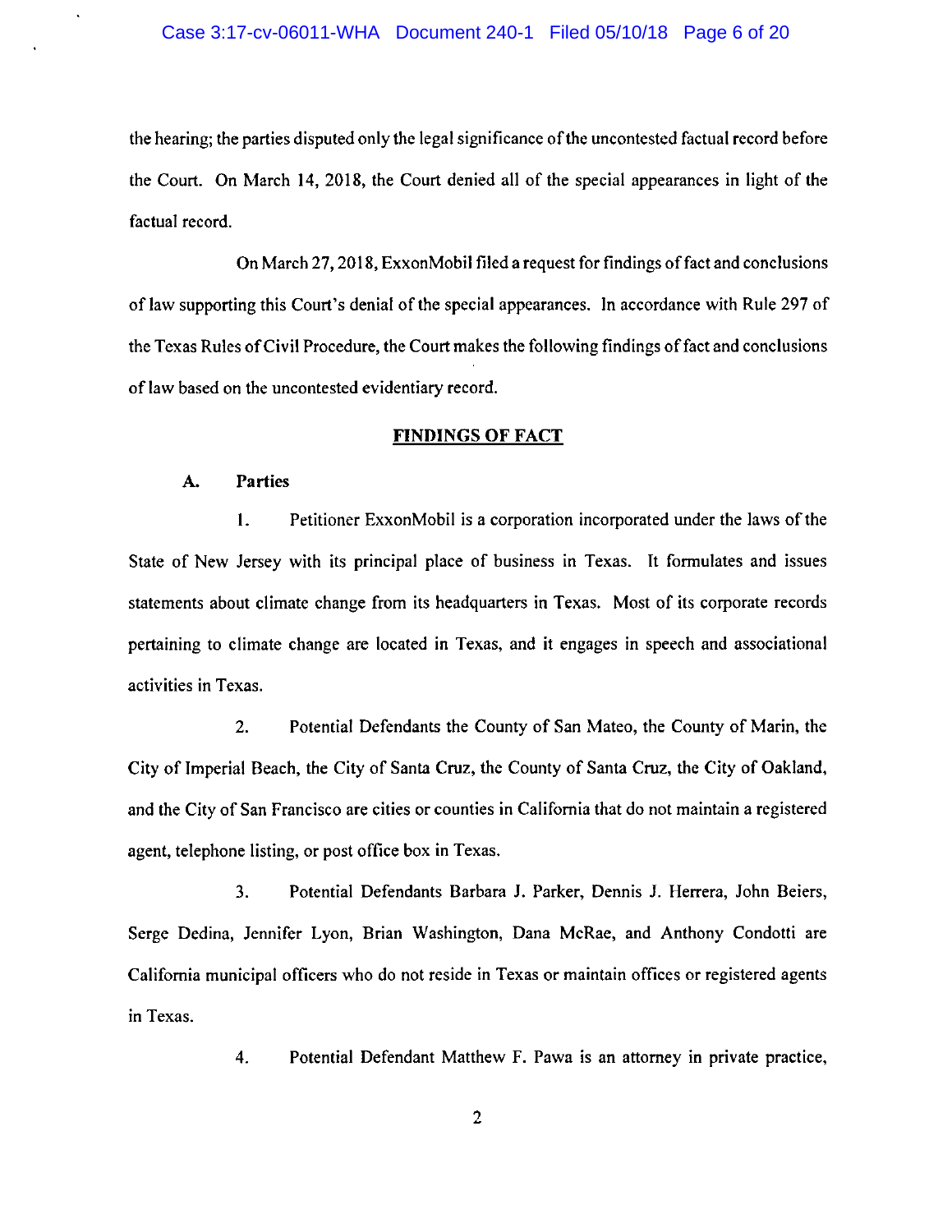#### Case 3:17-cv-06011-WHA Document 240-1 Filed 05/10/18 Page 6 of 20

the hearing; the parties disputed only the legal significance of the uncontested factual record before the Court. On March 14, 2018, the Court denied all of the special appearances in light of the factual record.

On March 27, 2018, ExxonMobil filed a request for findings of fact and conclusions of law supporting this Court's denial of the special appearances. In accordance with Rule 297 of the Texas Rules of Civil Procedure, the Court makes the following findings of fact and conclusions of law based on the uncontested evidentiary record.

#### FINDINGS OF FACT

#### A. Parties

I. Petitioner ExxonMobil is a corporation incorporated under the laws of the State of New Jersey with its principal place of business in Texas. It formulates and issues statements about climate change from its headquarters in Texas. Most of its corporate records pertaining to climate change are located in Texas, and it engages in speech and associational activities in Texas.

2. Potential Defendants the County of San Mateo, the County of Marin, the City of Imperial Beach, the City of Santa Cruz, the County of Santa Cruz, the City of Oakland, and the City of San Francisco are cities or counties in California that do not maintain a registered agent, telephone listing, or post office box in Texas.

3. Potential Defendants Barbara J. Parker, Dennis J. Herrera, John Beiers, Serge Dedina, Jennifer Lyon, Brian Washington, Dana McRae, and Anthony Condotti are California municipal officers who do not reside in Texas or maintain offices or registered agents in Texas.

4. Potential Defendant Matthew F. Pawa is an attorney in private practice,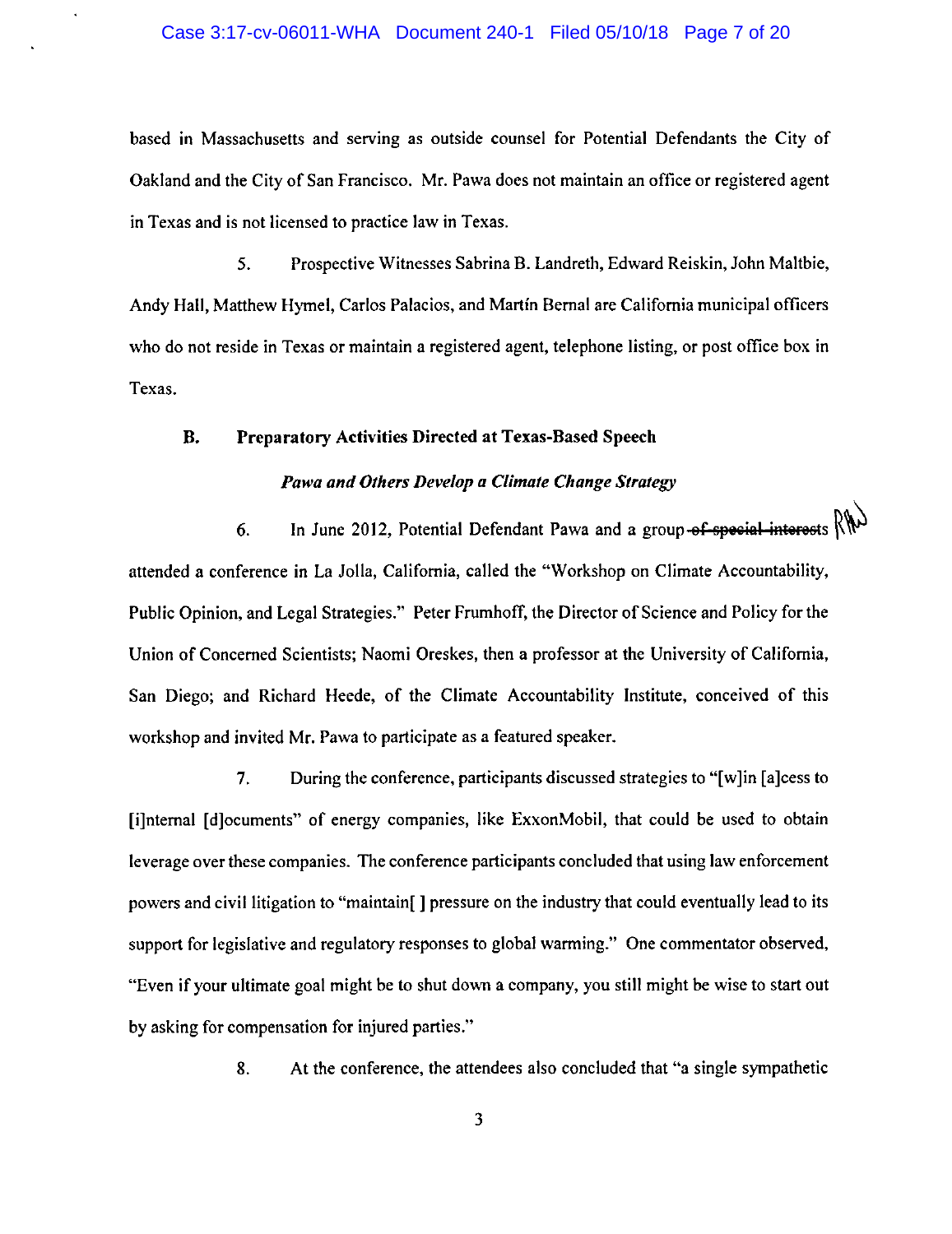#### Case 3:17-cv-06011-WHA Document 240-1 Filed 05/10/18 Page 7 of 20

based in Massachusetts and serving as outside counsel for Potential Defendants the City of Oakland and the City of San Francisco. Mr. Pawa does not maintain an office or registered agent in Texas and is not licensed to practice law in Texas.

5. Prospective Witnesses Sabrina B. Landreth, Edward Reiskin, John Maltbie, Andy Hall, Matthew Hymel, Carlos Palacios, and Martin Bernal are California municipal officers who do not reside in Texas or maintain a registered agent, telephone listing, or post office box in Texas.

# B. Preparatory Activities Directed at Texas-Based Speech

#### *Pawa and Others Develop a Climate Change Strategy*

6. In June 2012, Potential Defendant Pawa and a group of special interests  $R_{\mathcal{W}}$ attended a conference in La Jolla, California, called the "Workshop on Climate Accountability, Public Opinion, and Legal Strategies." Peter Frumhoff, the Director of Science and Policy for the Union of Concerned Scientists; Naomi Oreskes, then a professor at the University of California, San Diego; and Richard Heede, of the Climate Accountability Institute, conceived of this workshop and invited Mr. Pawa to participate as a featured speaker.

7. During the conference, participants discussed strategies to "[w] in [a]cess to [i]nternal [ d]ocuments" of energy companies, like ExxonMobil, that could be used to obtain leverage over these companies. The conference participants concluded that using law enforcement powers and civil litigation to "maintain[] pressure on the industry that could eventually lead to its support for legislative and regulatory responses to global warming." One commentator observed, "Even if your ultimate goal might be to shut down a company, you still might be wise to start out by asking for compensation for injured parties."

8. At the conference, the attendees also concluded that "a single sympathetic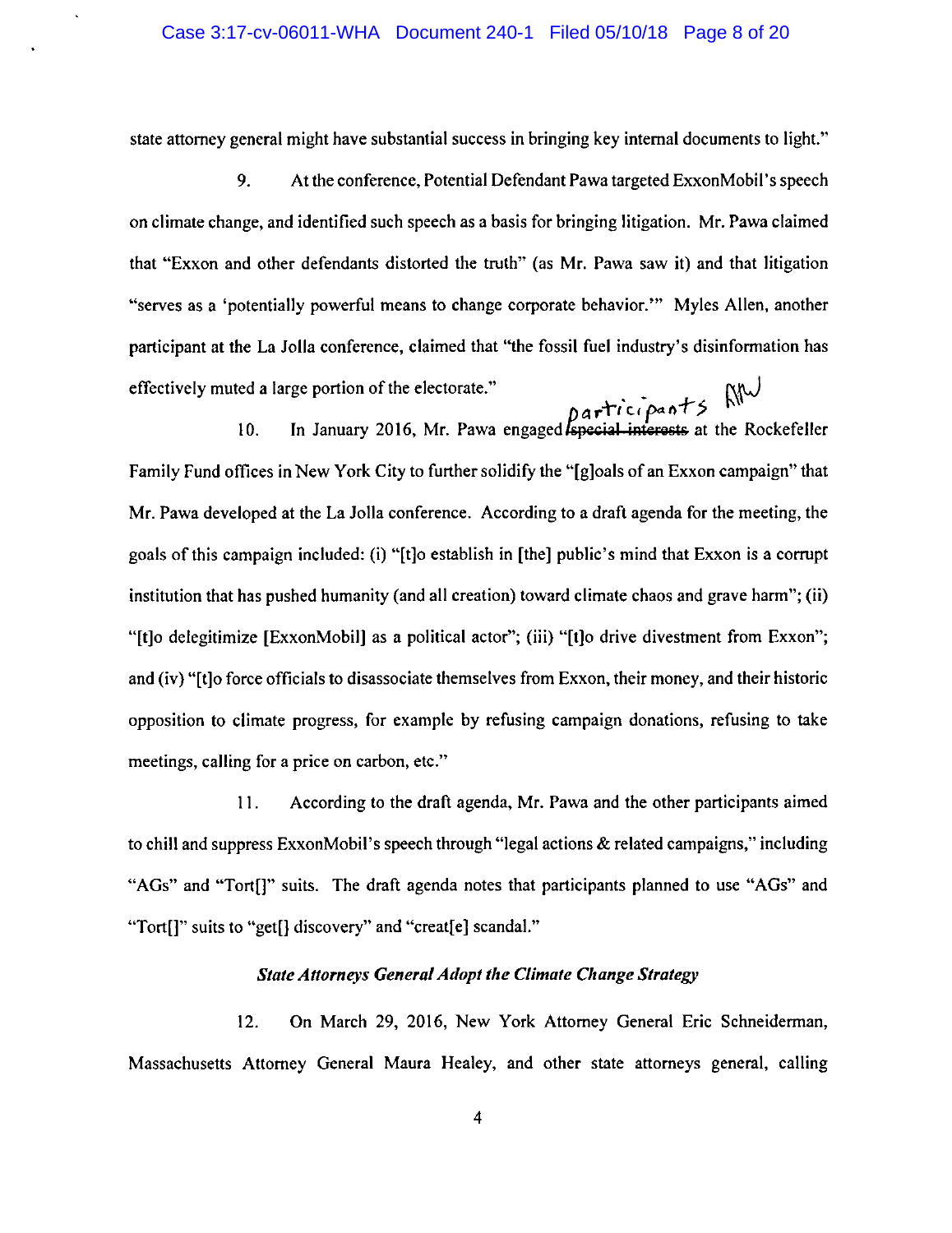state attorney general might have substantial success in bringing key internal documents to light."

9. At the conference, Potential Defendant Pawa targeted ExxonMobil's speech on climate change, and identified such speech as a basis for bringing litigation. Mr. Pawa claimed that "Exxon and other defendants distorted the truth" (as Mr. Pawa saw it) and that litigation "serves as a 'potentially powerful means to change corporate behavior."' Myles Allen, another participant at the La Jolla conference, claimed that "the fossil fuel industry's disinformation has effectively muted a large portion of the electorate."

 $\beta$ articipants 10. In January 2016, Mr. Pawa engaged special interests at the Rockefeller Family Fund offices in New York City to further solidify the "(g]oals of an Exxon campaign" that Mr. Pawa developed at the La Jolla conference. According to a draft agenda for the meeting, the goals of this campaign included: (i) "(t]o establish in [the] public's mind that Exxon is a corrupt institution that has pushed humanity (and all creation) toward climate chaos and grave harm"; (ii) "[t]o delegitimize [ExxonMobil] as a political actor"; (iii) "(t]o drive divestment from Exxon"; and (iv) "(t]o force officials to disassociate themselves from Exxon, their money, and their historic opposition to climate progress, for example by refusing campaign donations, refusing to take meetings, calling for a price on carbon, etc."

11. According to the draft agenda, Mr. Pawa and the other participants aimed to chill and suppress ExxonMobil's speech through "legal actions & related campaigns," including "AGs" and "Tort[]" suits. The draft agenda notes that participants planned to use "AGs" and "Tort[]" suits to "get[] discovery" and "creat[e] scandal."

#### *State Attorneys General Adopt the Climate Change Strategy*

12. On March 29, 2016, New York Attorney General Eric Schneiderman, Massachusetts Attorney General Maura Healey, and other state attorneys general, calling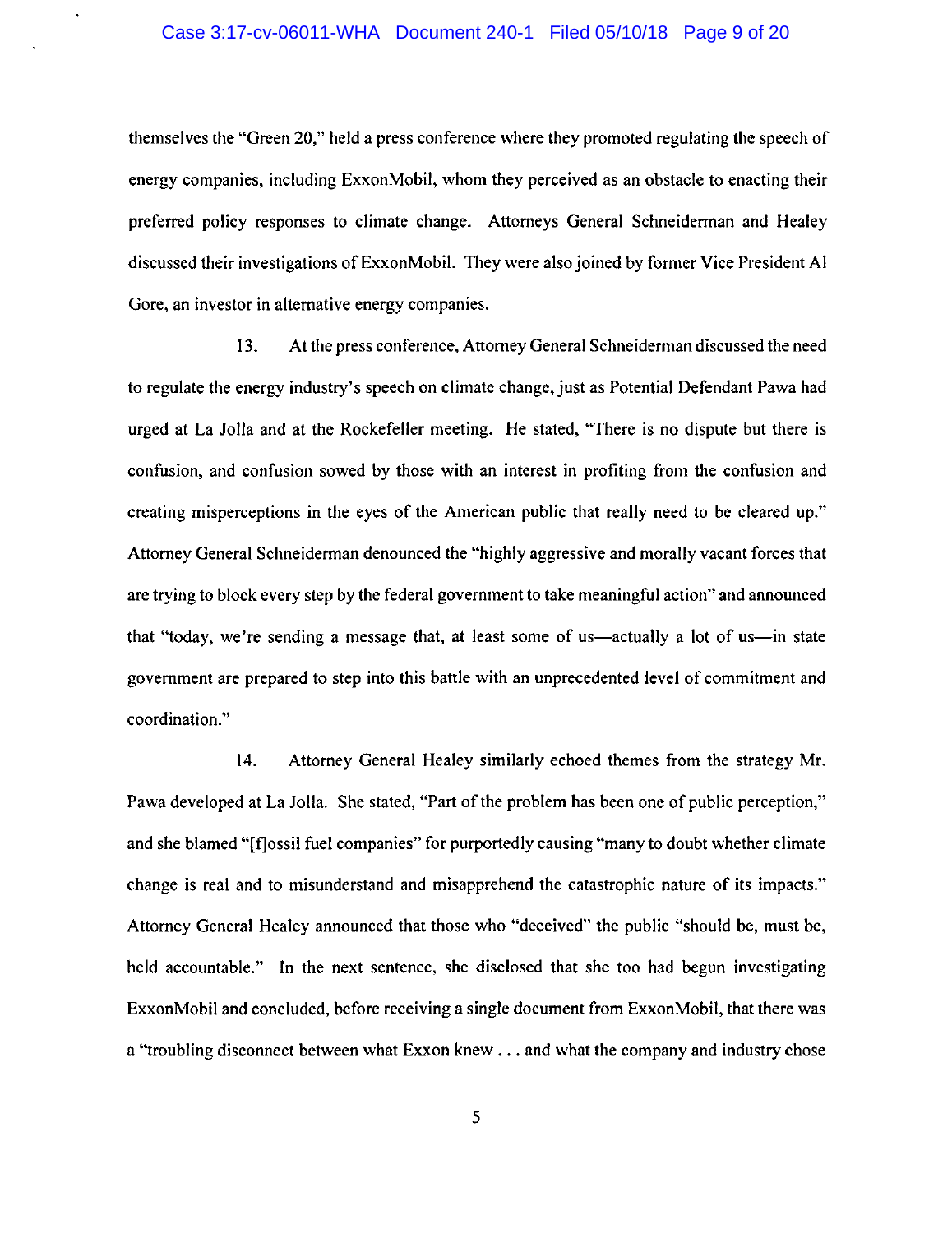#### Case 3:17-cv-06011-WHA Document 240-1 Filed 05/10/18 Page 9 of 20

themselves the "Green 20," held a press conference where they promoted regulating the speech of energy companies, including ExxonMobil, whom they perceived as an obstacle to enacting their preferred policy responses to climate change. Attorneys General Schneiderman and Healey discussed their investigations of ExxonMobil. They were also joined by former Vice President Al Gore, an investor in alternative energy companies.

13. At the press conference, Attorney General Schneiderman discussed the need to regulate the energy industry's speech on climate change, just as Potential Defendant Pawa had urged at La Jolla and at the Rockefeller meeting. He stated, "There is no dispute but there is confusion, and confusion sowed by those with an interest in profiting from the confusion and creating misperceptions in the eyes of the American public that really need to be cleared up." Attorney General Schneiderman denounced the "highly aggressive and morally vacant forces that are trying to block every step by the federal government to take meaningful action" and announced that "today, we're sending a message that, at least some of us—actually a lot of us—in state government are prepared to step into this battle with an unprecedented level of commitment and coordination."

14. Attorney General Healey similarly echoed themes from the strategy Mr. Pawa developed at La Jolla. She stated, "Part of the problem has been one of public perception," and she blamed "[f]ossil fuel companies" for purportedly causing "many to doubt whether climate change is real and to misunderstand and misapprehend the catastrophic nature of its impacts." Attorney General Healey announced that those who "deceived" the public "should be, must be, held accountable." In the next sentence, she disclosed that she too had begun investigating ExxonMobil and concluded, before receiving a single document from ExxonMobil, that there was a "troubling disconnect between what Exxon knew ... and what the company and industry chose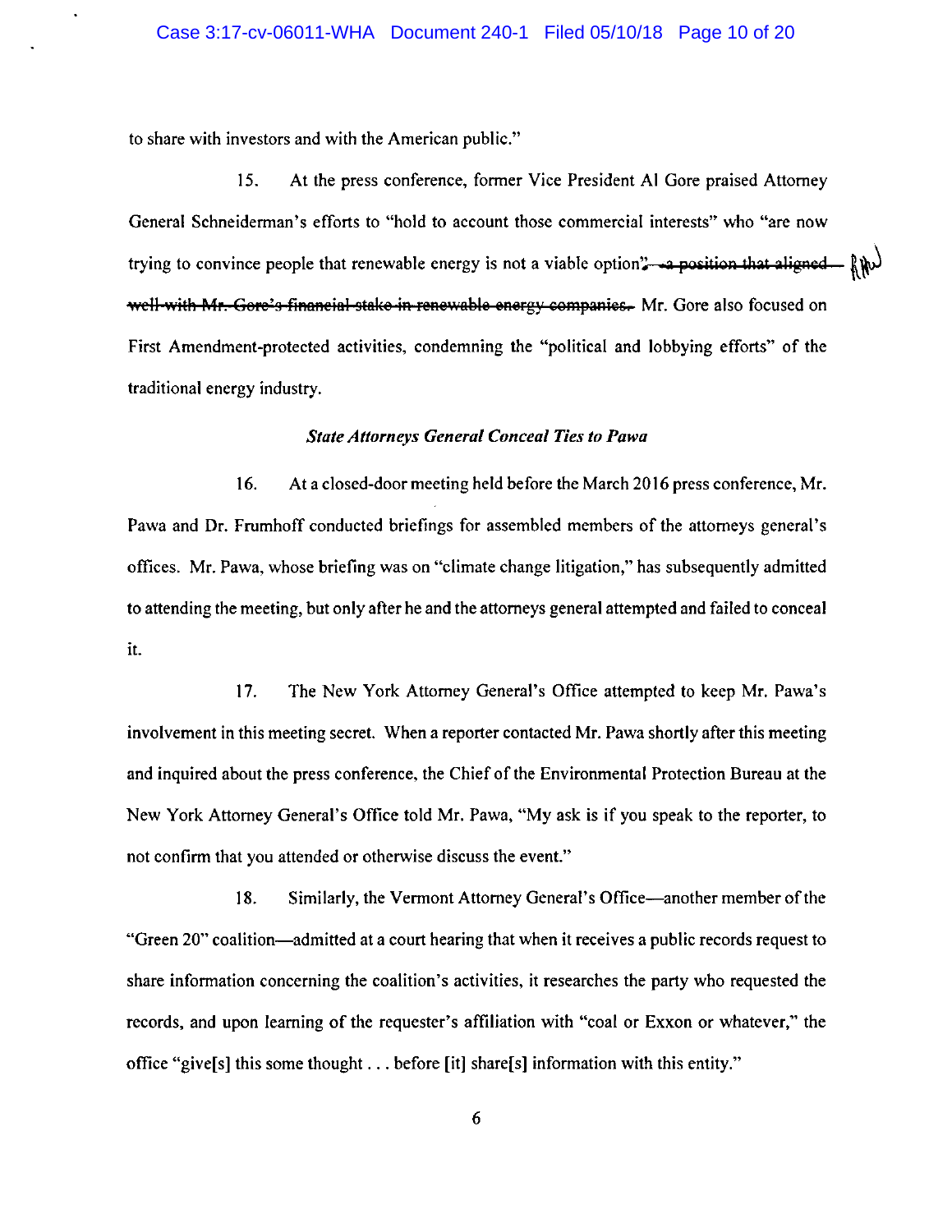to share with investors and with the American public."

15. At the press conference, former Vice President Al Gore praised Attorney General Schneiderman's efforts to "hold to account those commercial interests" who "are now trying to convince people that renewable energy is not a viable option" a position that aligned  $\lim_{h \to 0} \sqrt{h}$ well-with Mr. Gore's financial stake in renewable energy companies. Mr. Gore also focused on First Amendment-protected activities, condemning the "political and lobbying efforts" of the traditional energy industry.

#### *State Attorneys General Conceal Ties to Pawa*

16. At a closed-door meeting held before the March 2016 press conference, Mr. Pawa and Dr. Frumhoff conducted briefings for assembled members of the attorneys general's offices. Mr. Pawa, whose briefing was on "climate change litigation," has subsequently admitted to attending the meeting, but only after he and the attorneys general attempted and failed to conceal it.

17. The New York Attorney General's Office attempted to keep Mr. Pawa's involvement in this meeting secret. When a reporter contacted Mr. Pawa shortly after this meeting and inquired about the press conference, the Chief of the Environmental Protection Bureau at the New York Attorney General's Office told Mr. Pawa, "My ask is if you speak to the reporter, to not confirm that you attended or otherwise discuss the event."

18. Similarly, the Vermont Attorney General's Office-another member of the "Green 20" coalition-admitted at a court hearing that when it receives a public records request to share information concerning the coalition's activities, it researches the party who requested the records, and upon learning of the requester's affiliation with "coal or Exxon or whatever," the office "give[s] this some thought ... before [it] share[s] information with this entity."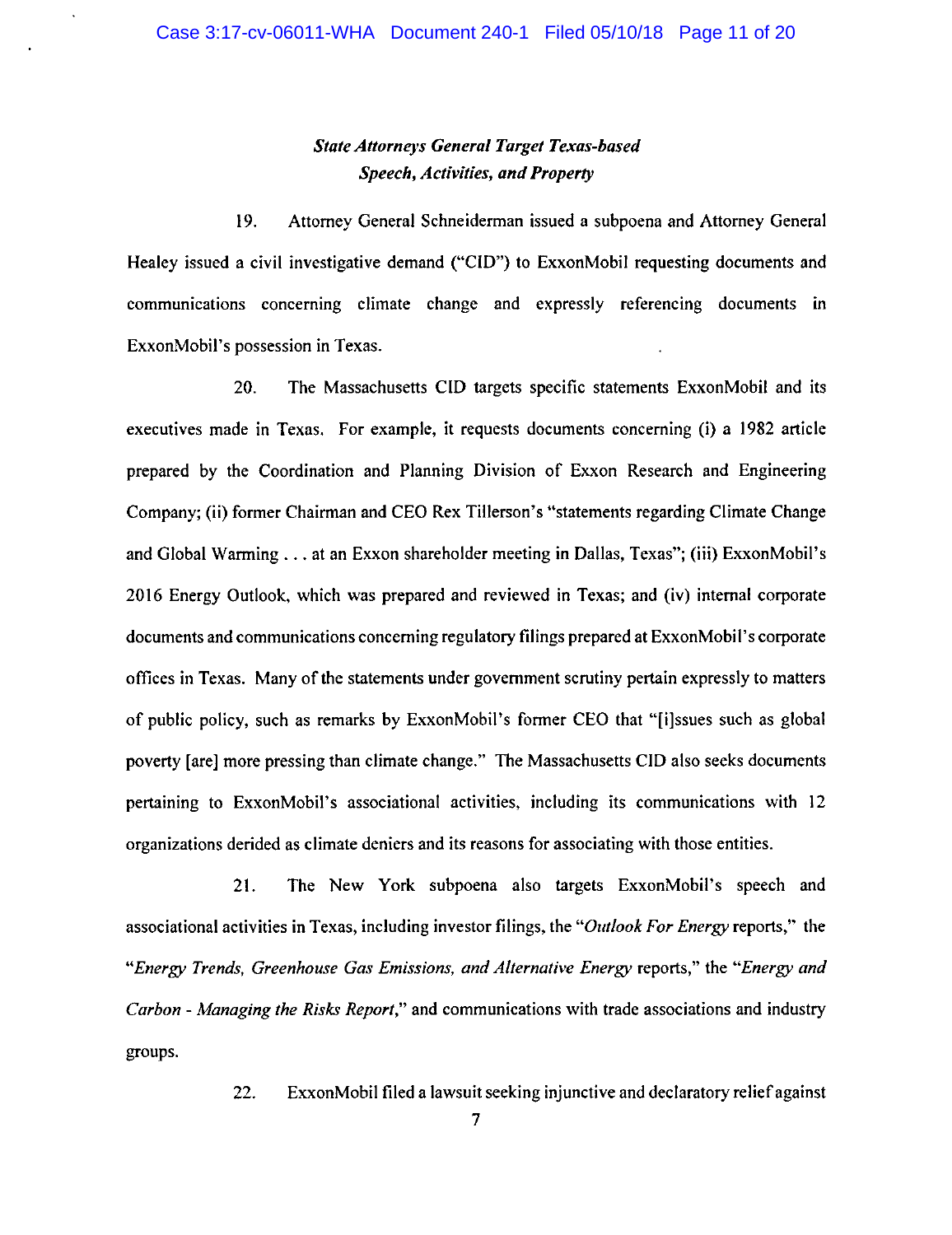# *State Attorneys General Target Texas-based Speech, Activities, and Property*

19. Attorney General Schneiderman issued a subpoena and Attorney General Healey issued a civil investigative demand ("CID") to ExxonMobil requesting documents and communications concerning climate change and expressly referencing documents in ExxonMobil's possession in Texas.

20. The Massachusetts CID targets specific statements ExxonMobil and its executives made in Texas. For example, it requests documents concerning (i) a I 982 article prepared by the Coordination and Planning Division of Exxon Research and Engineering Company; (ii) former Chairman and CEO Rex Tillerson's "statements regarding Climate Change and Global Warming ... at an Exxon shareholder meeting in Dallas, Texas"; (iii) ExxonMobil's 2016 Energy Outlook, which was prepared and reviewed in Texas; and (iv) internal corporate documents and communications concerning regulatory filings prepared at ExxonMobil's corporate offices in Texas. Many of the statements under government scrutiny pertain expressly to matters of public policy, such as remarks by ExxonMobil's former CEO that "[i]ssues such as global poverty [are] more pressing than climate change." The Massachusetts CID also seeks documents pertaining to ExxonMobil's associational activities, including its communications with 12 organizations derided as climate deniers and its reasons for associating with those entities.

21. The New York subpoena also targets ExxonMobil's speech and associational activities in Texas, including investor filings, the *"Outlook For Energy* reports," the *"Energy Trends, Greenhouse Gas Emissions, and Alternative Energy* reports," the *"Energy and Carbon* - *Managing the Risks Report,"* and communications with trade associations and industry groups.

22. ExxonMobil filed a lawsuit seeking injunctive and declaratory relief against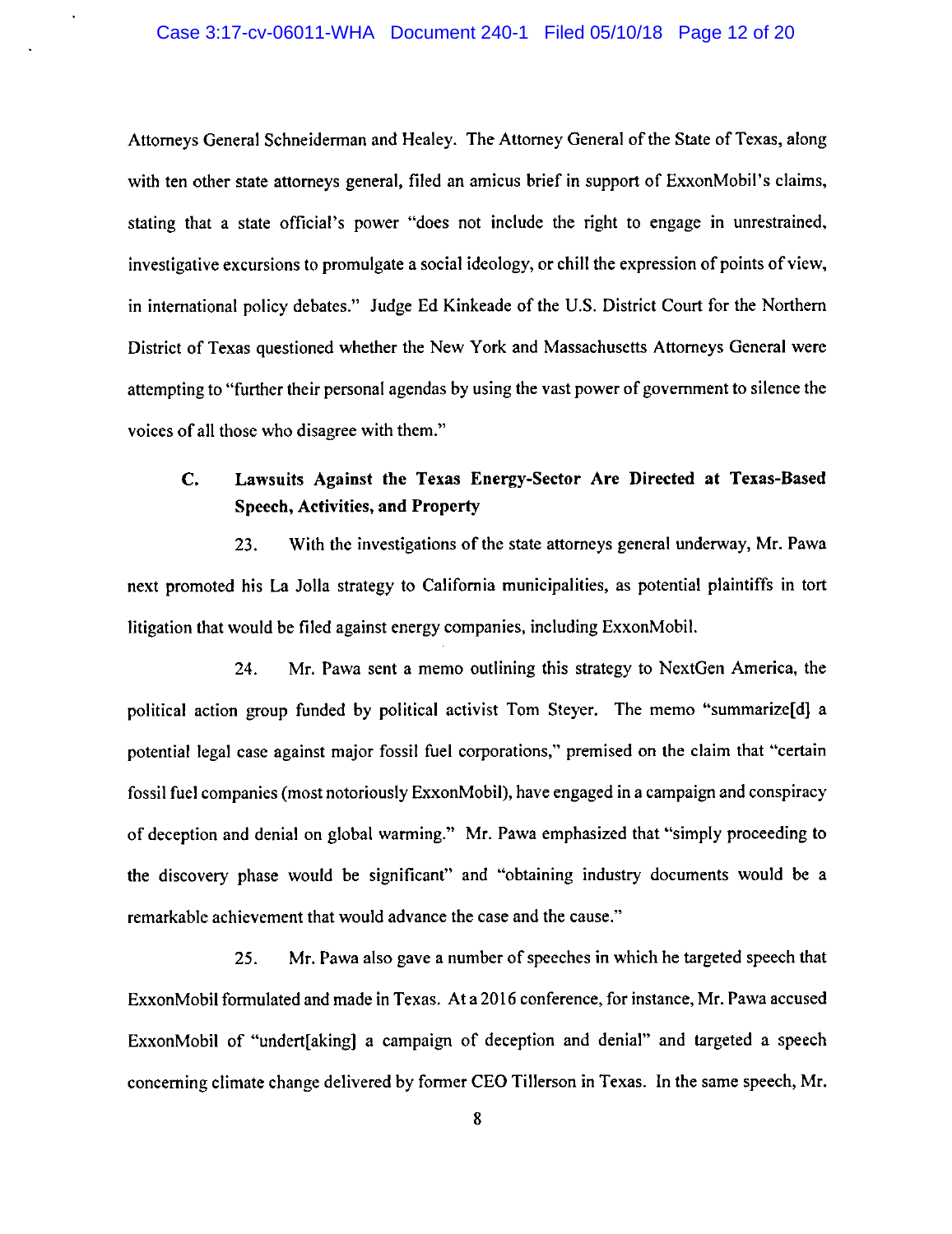Attorneys General Schneiderman and Healey. The Attorney General of the State of Texas, along with ten other state attorneys general, filed an amicus brief in support of ExxonMobil's claims, stating that a state official's power "does not include the right to engage in unrestrained, investigative excursions to promulgate a social ideology, or chill the expression of points of view, in international policy debates." Judge Ed Kinkeade of the U.S. District Court for the Northern District of Texas questioned whether the New York and Massachusetts Attorneys General were attempting to "further their personal agendas by using the vast power of government to silence the voices of all those who disagree with them."

# C. Lawsuits Against the Texas Energy-Sector Are Directed at Texas-Based Speech, Activities, and Property

23. With the investigations of the state attorneys general underway, Mr. Pawa next promoted his La Jolla strategy to California municipalities, as potential plaintiffs in tort litigation that would be filed against energy companies, including ExxonMobil.

24. Mr. Pawa sent a memo outlining this strategy to NextGen America, the political action group funded by political activist Tom Steyer. The memo "summarize[d] a potential legal case against major fossil fuel corporations," premised on the claim that "certain fossil fuel companies (most notoriously ExxonMobil), have engaged in a campaign and conspiracy of deception and denial on global warming." Mr. Pawa emphasized that "simply proceeding to the discovery phase would be significant" and "obtaining industry documents would be a remarkable achievement that would advance the case and the cause."

25. Mr. Pawa also gave a number of speeches in which he targeted speech that ExxonMobil formulated and made in Texas. At a 2016 conference, for instance, Mr. Pawa accused ExxonMobil of "undert[aking) a campaign of deception and denial" and targeted a speech concerning climate change delivered by former CEO Tillerson in Texas. In the same speech, Mr.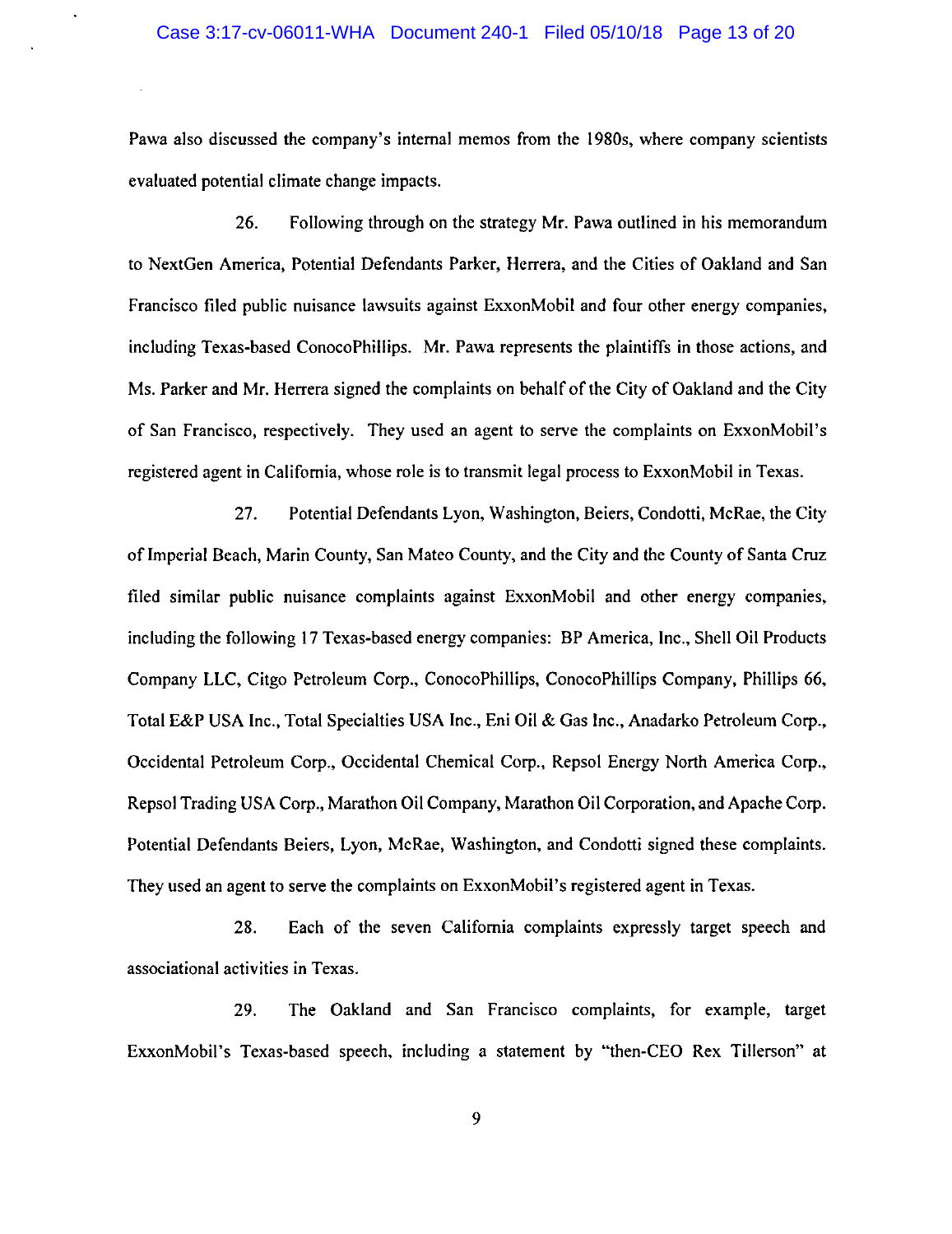Pawa also discussed the company's internal memos from the 1980s, where company scientists evaluated potential climate change impacts.

26. Following through on the strategy Mr. Pawa outlined in his memorandum to NextGen America, Potential Defendants Parker, Herrera, and the Cities of Oakland and San Francisco filed public nuisance lawsuits against ExxonMobil and four other energy companies, including Texas-based ConocoPhillips. Mr. Pawa represents the plaintiffs in those actions, and Ms. Parker and Mr. Herrera signed the complaints on behalf of the City of Oakland and the City of San Francisco, respectively. They used an agent to serve the complaints on ExxonMobil's registered agent in California, whose role is to transmit legal process to ExxonMobil in Texas.

27. Potential Defendants Lyon, Washington, Beiers, Condotti, McRae, the City of Imperial Beach, Marin County, San Mateo County, and the City and the County of Santa Cruz filed similar public nuisance complaints against ExxonMobil and other energy companies, including the following 17 Texas-based energy companies: BP America, Inc., Shell Oil Products Company LLC, Citgo Petroleum Corp., ConocoPhillips, ConocoPhillips Company, Phillips 66, Total E&P USA Inc., Total Specialties USA Inc., Eni Oil & Gas Inc., Anadarko Petroleum Corp., Occidental Petroleum Corp., Occidental Chemical Corp., Repsol Energy North America Corp., Repsol Trading USA Corp., Marathon Oil Company, Marathon Oil Corporation, and Apache Corp. Potential Defendants Beiers, Lyon, McRae, Washington, and Condotti signed these complaints. They used an agent to serve the complaints on ExxonMobil's registered agent in Texas.

28. Each of the seven California complaints expressly target speech and associational activities in Texas.

29. The Oakland and San Francisco complaints, for example, target ExxonMobil's Texas-based speech, including a statement by "then-CEO Rex Tillerson" at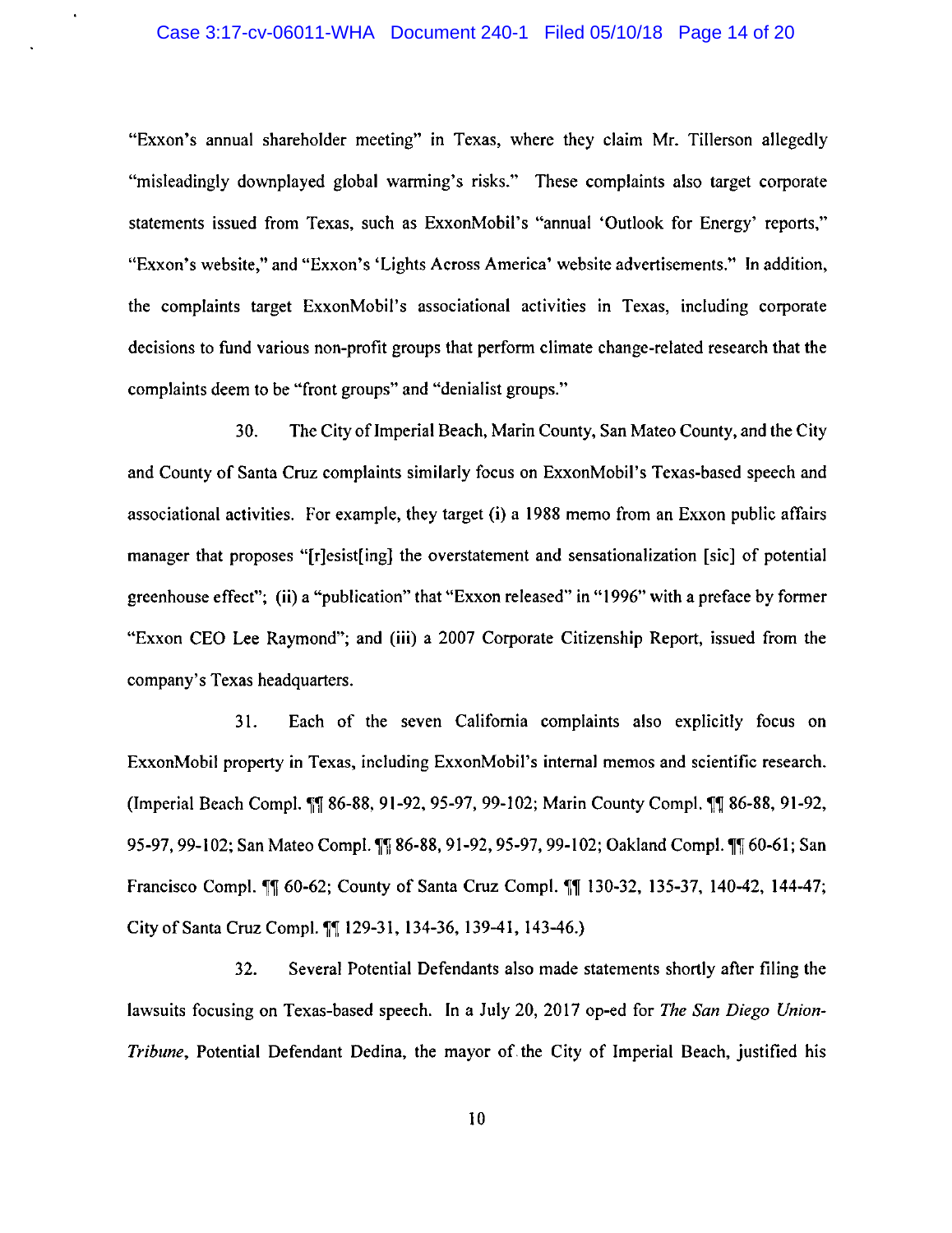#### Case 3:17-cv-06011-WHA Document 240-1 Filed 05/10/18 Page 14 of 20

"Exxon's annual shareholder meeting" in Texas, where they claim Mr. Tillerson allegedly "misleadingly downplayed global warming's risks." These complaints also target corporate statements issued from Texas, such as ExxonMobil's "annual 'Outlook for Energy' reports," "Exxon's website," and "Exxon's 'Lights Across America' website advertisements." In addition, the complaints target ExxonMobil's associational activities in Texas, including corporate decisions to fund various non-profit groups that perform climate change-related research that the complaints deem to be "front groups" and "denialist groups."

30. The City of Imperial Beach, Marin County, San Mateo County, and the City and County of Santa Cruz complaints similarly focus on ExxonMobil's Texas-based speech and associational activities. For example, they target (i) a 1988 memo from an Exxon public affairs manager that proposes "[r]esist[ing] the overstatement and sensationalization [sic] of potential greenhouse effect"; (ii) a "publication" that "Exxon released" in "1996" with a preface by former "Exxon CEO Lee Raymond"; and (iii) a 2007 Corporate Citizenship Report, issued from the company's Texas headquarters.

31. Each of the seven California complaints also explicitly focus on ExxonMobil property in Texas, including ExxonMobil's internal memos and scientific research. (Imperial Beach Compl.  $\int \int \int$  86-88, 91-92, 95-97, 99-102; Marin County Compl.  $\int \int \int \int$  86-88, 91-92, 95-97, 99-102; San Mateo Compl. II 86-88, 91-92, 95-97, 99-102; Oakland Compl. II 60-61; San Francisco Compl. 11 60-62; County of Santa Cruz Compl. 11 130-32, 135-37, 140-42, 144-47; City of Santa Cruz Compl. [[ 129-31, 134-36, 139-41, 143-46.)

32. Several Potential Defendants also made statements shortly after filing the lawsuits focusing on Texas-based speech. In a July 20, 2017 op-ed for *The San Diego Union-Tribune,* Potential Defendant Dedina, the mayor of the City of Imperial Beach, justified his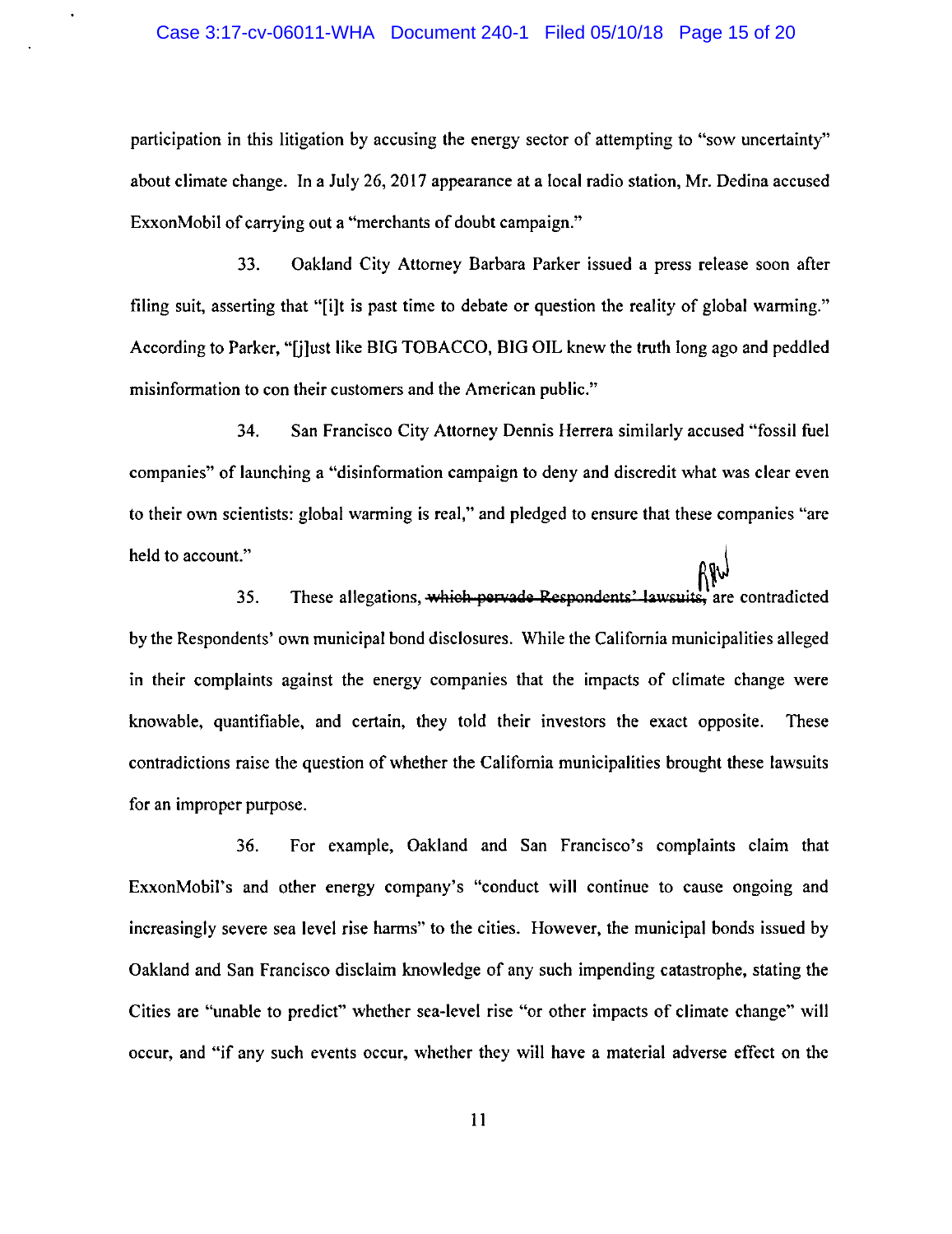#### Case 3:17-cv-06011-WHA Document 240-1 Filed 05/10/18 Page 15 of 20

participation in this litigation by accusing the energy sector of attempting to "sow uncertainty" about climate change. In a July 26, 2017 appearance at a local radio station, Mr. Dedina accused ExxonMobil of carrying out a "merchants of doubt campaign."

33. Oakland City Attorney Barbara Parker issued a press release soon after filing suit, asserting that "[i)t is past time to debate or question the reality of global warming." According to Parker, "[j)ust like BIG TOBACCO, BIG OIL knew the truth long ago and peddled misinformation to con their customers and the American public."

34. San Francisco City Attorney Dennis Herrera similarly accused "'fossil fuel companies" of launching a "disinformation campaign to deny and discredit what was clear even to their own scientists: global warming is real," and pledged to ensure that these companies "are held to account."

35. These allegations, which pervade Respondents' lawsuits, are contradicted by the Respondents' own municipal bond disclosures. While the California municipalities alleged in their complaints against the energy companies that the impacts of climate change were knowable, quantifiable, and certain, they told their investors the exact opposite. These contradictions raise the question of whether the California municipalities brought these lawsuits for an improper purpose.

36. For example, Oakland and San Francisco's complaints claim that ExxonMobil's and other energy company's "conduct will continue to cause ongoing and increasingly severe sea level rise harms" to the cities. However, the municipal bonds issued by Oakland and San Francisco disclaim knowledge of any such impending catastrophe, stating the Cities are "unable to predict" whether sea-level rise "or other impacts of climate change" will occur, and "if any such events occur, whether they will have a material adverse effect on the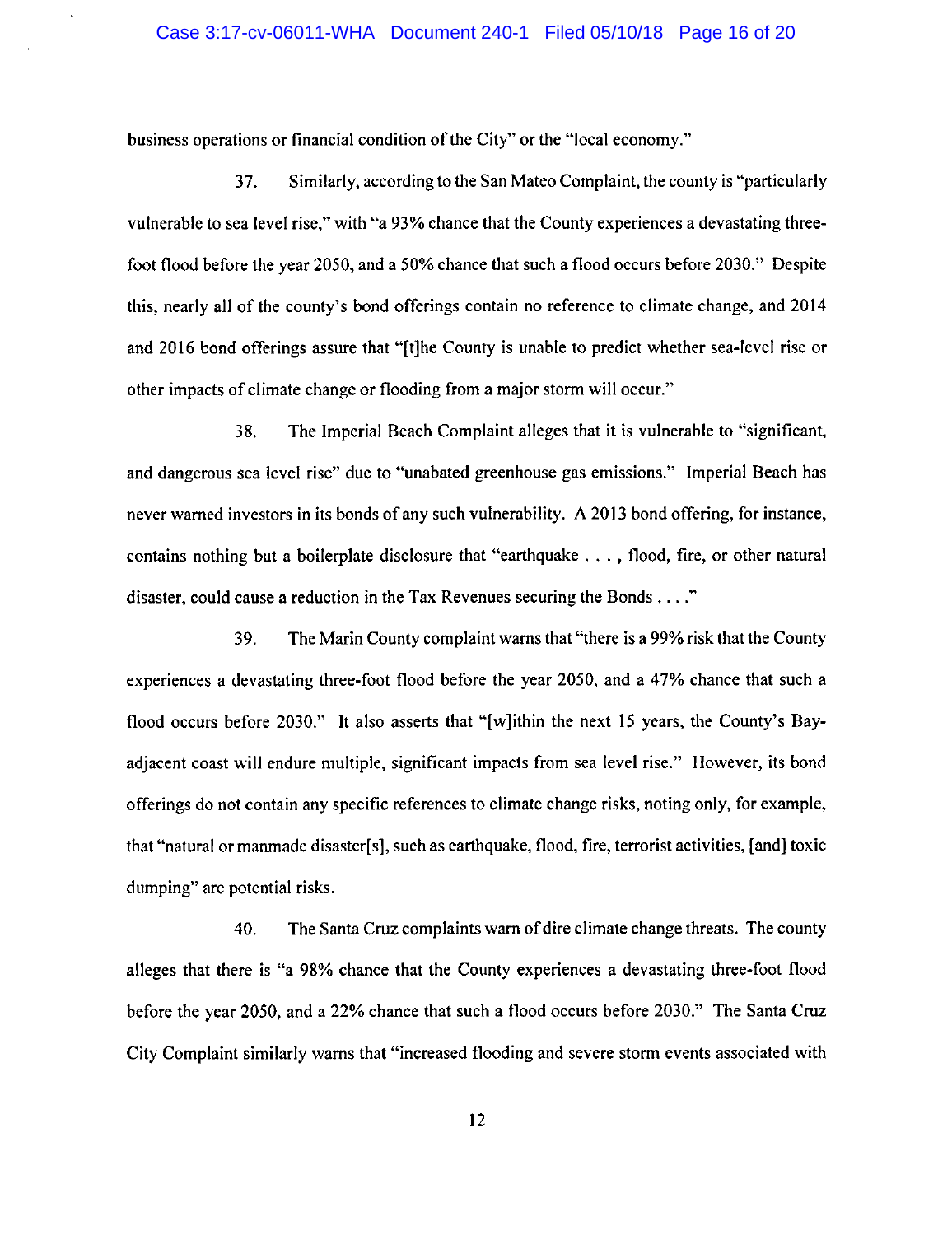business operations or financial condition of the City" or the "local economy."

37. Similarly, according to the San Mateo Complaint, the county is "particularly vulnerable to sea level rise," with "a 93% chance that the County experiences a devastating threefoot flood before the year 2050, and a 50% chance that such a flood occurs before 2030." Despite this, nearly all of the county's bond offerings contain no reference to climate change, and 2014 and 2016 bond offerings assure that "[t]he County is unable to predict whether sea-level rise or other impacts of climate change or flooding from a major storm will occur."

38. The Imperial Beach Complaint alleges that it is vulnerable to "significant, and dangerous sea level rise" due to "unabated greenhouse gas emissions." Imperial Beach has never warned investors in its bonds of any such vulnerability. A 2013 bond offering, for instance, contains nothing but a boilerplate disclosure that "earthquake ... , flood, fire, or other natural disaster, could cause a reduction in the Tax Revenues securing the Bonds .... "

39. The Marin County complaint warns that "there is a 99% risk that the County experiences a devastating three-foot flood before the year 2050, and a 47% chance that such a flood occurs before 2030." It also asserts that "[w]ithin the next 15 years, the County's Bayadjacent coast will endure multiple, significant impacts from sea level rise." However, its bond offerings do not contain any specific references to climate change risks, noting only, for example, that "natural or manmade disaster[s], such as earthquake, flood, fire, terrorist activities, [and] toxic dumping" are potential risks.

40. The Santa Cruz complaints warn of dire climate change threats. The county alleges that there is "a 98% chance that the County experiences a devastating three-foot flood before the year 2050, and a 22% chance that such a flood occurs before 2030." The Santa Cruz City Complaint similarly warns that "increased flooding and severe storm events associated with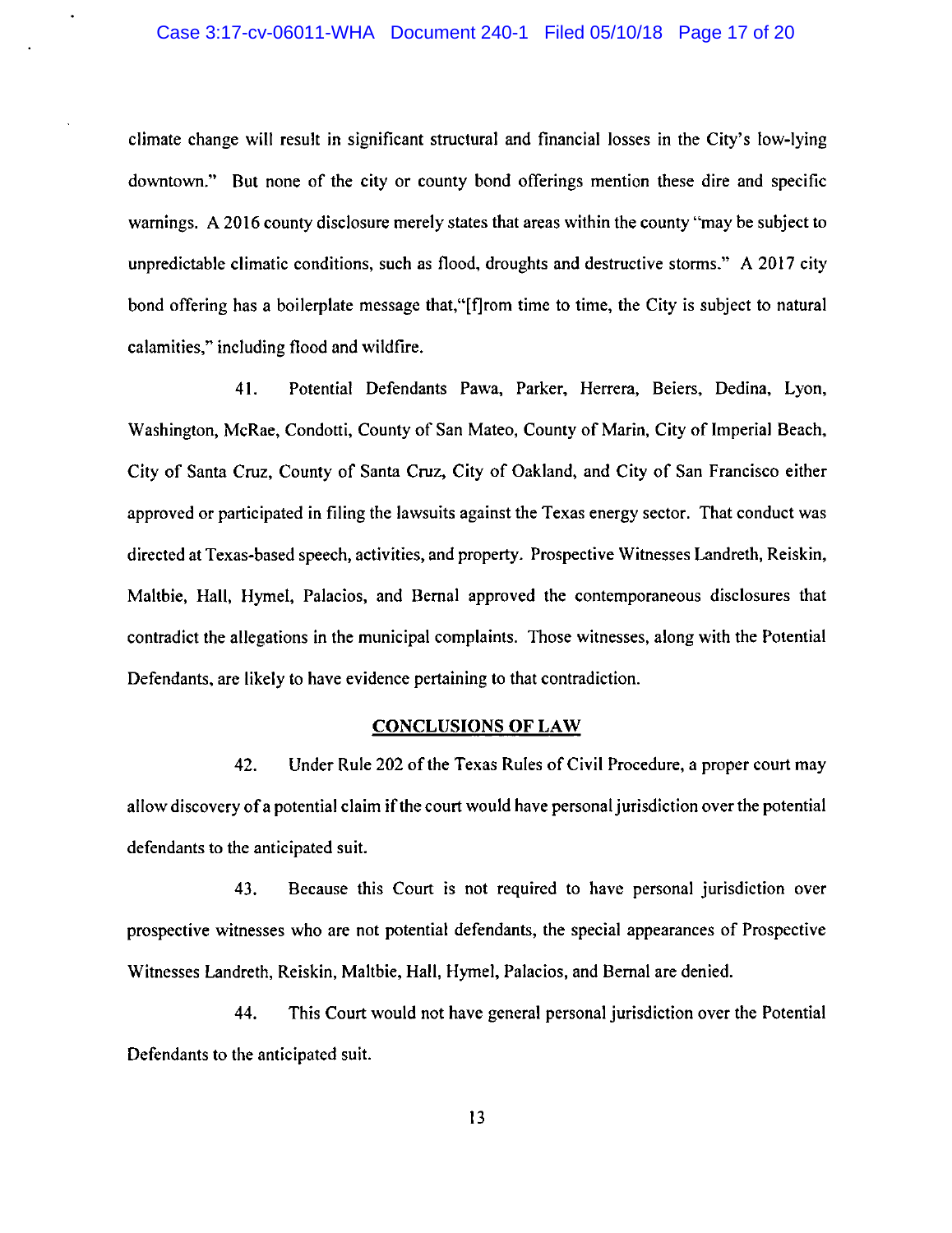climate change will result in significant structural and financial losses in the City's low-lying downtown." But none of the city or county bond offerings mention these dire and specific warnings. A 2016 county disclosure merely states that areas within the county "may be subject to unpredictable climatic conditions, such as flood, droughts and destructive storms." A 2017 city bond offering has a boilerplate message that,"[f]rom time to time, the City is subject to natural calamities," including flood and wildfire.

41. Potential Defendants Pawa, Parker, Herrera, Beiers, Dedina, Lyon, Washington, McRae, Condotti, County of San Mateo, County of Marin, City of Imperial Beach, City of Santa Cruz, County of Santa Cruz, City of Oakland, and City of San Francisco either approved or participated in filing the lawsuits against the Texas energy sector. That conduct was directed at Texas-based speech, activities, and property. Prospective Witnesses Landreth, Reiskin, Maltbie, Hall, Hymel, Palacios, and Bernal approved the contemporaneous disclosures that contradict the allegations in the municipal complaints. Those witnesses, along with the Potential Defendants, are likely to have evidence pertaining to that contradiction.

### CONCLUSIONS OF LAW

42. Under Rule 202 of the Texas Rules of Civil Procedure, a proper court may allow discovery of a potential claim if the court would have personal jurisdiction over the potential defendants to the anticipated suit.

43. Because this Court is not required to have personal jurisdiction over prospective witnesses who are not potential defendants, the special appearances of Prospective Witnesses Landreth, Reiskin, Maltbie, Hall, Hymel, Palacios, and Bernal are denied.

44. This Court would not have general personal jurisdiction over the Potential Defendants to the anticipated suit.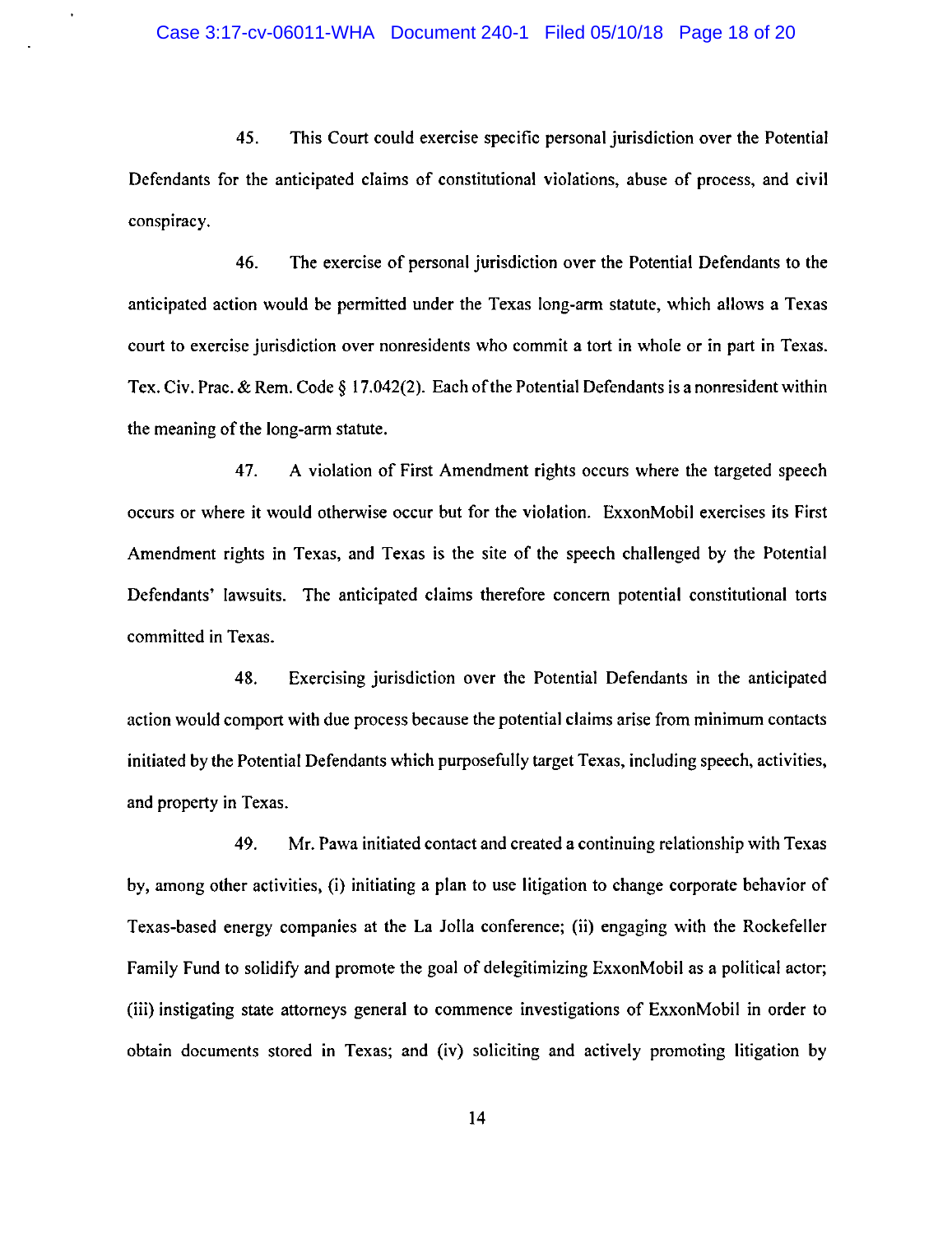45. This Court could exercise specific personal jurisdiction over the Potential Defendants for the anticipated claims of constitutional violations, abuse of process, and civil conspiracy.

46. The exercise of personal jurisdiction over the Potential Defendants to the anticipated action would be permitted under the Texas long-arm statute, which allows a Texas court to exercise jurisdiction over nonresidents who commit a tort in whole or in part in Texas. Tex. Civ. Prac. & Rem. Code§ 17.042(2). Each of the Potential Defendants is a nonresident within the meaning of the long-arm statute.

47. A violation of First Amendment rights occurs where the targeted speech occurs or where it would otherwise occur but for the violation. ExxonMobil exercises its First Amendment rights in Texas, and Texas is the site of the speech challenged by the Potential Defendants' lawsuits. The anticipated claims therefore concern potential constitutional torts committed in Texas.

48. Exercising jurisdiction over the Potential Defendants in the anticipated action would comport with due process because the potential claims arise from minimum contacts initiated by the Potential Defendants which purposefully target Texas, including speech, activities, and property in Texas.

49. Mr. Pawa initiated contact and created a continuing relationship with Texas by, among other activities, (i) initiating a plan to use litigation to change corporate behavior of Texas-based energy companies at the La Jolla conference; (ii) engaging with the Rockefeller Family Fund to solidify and promote the goal of delegitimizing ExxonMobil as a political actor; (iii) instigating state attorneys general to commence investigations of ExxonMobil in order to obtain documents stored in Texas; and (iv) soliciting and actively promoting litigation by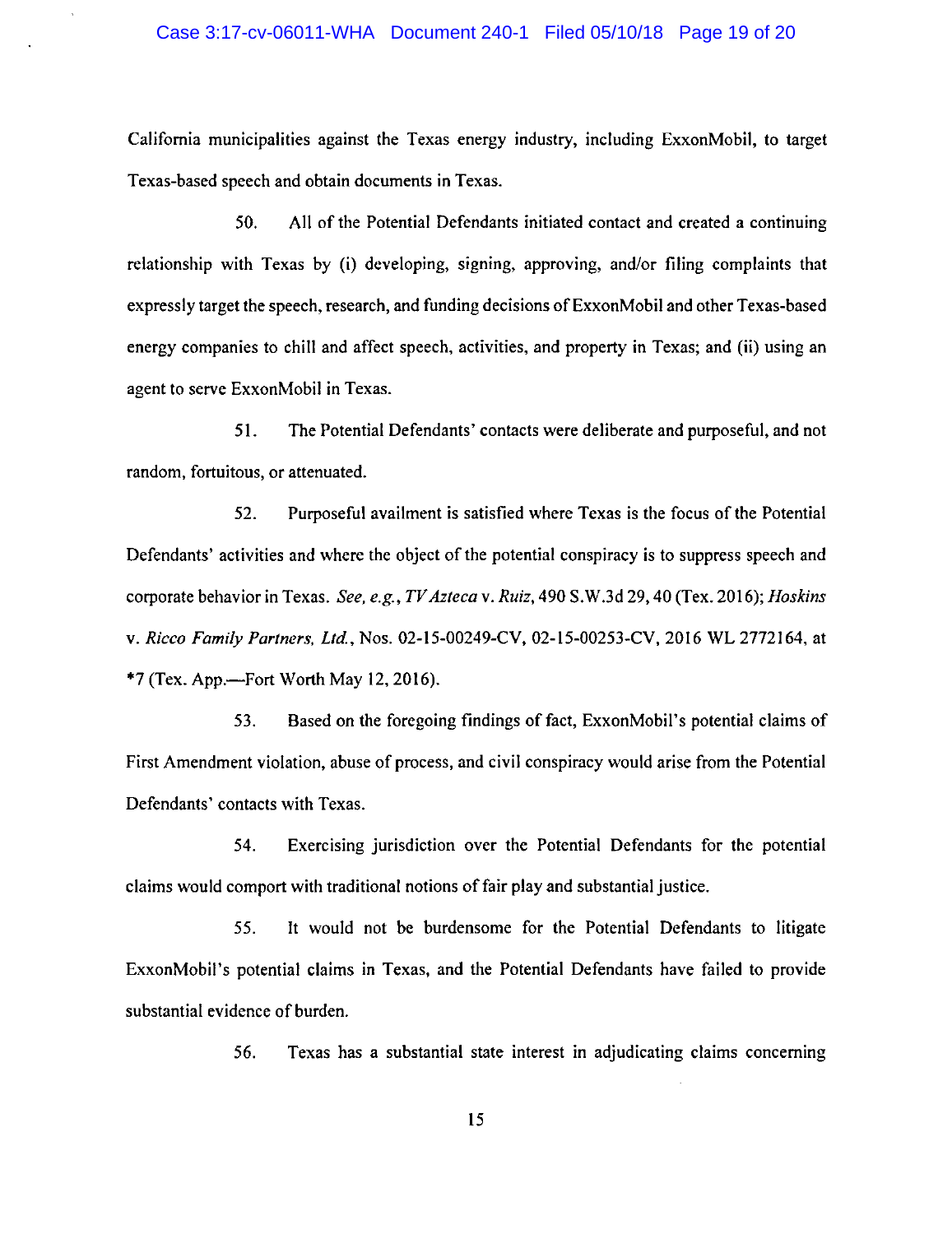California municipalities against the Texas energy industry, including ExxonMobil, to target Texas-based speech and obtain documents in Texas.

50. All of the Potential Defendants initiated contact and created a continuing relationship with Texas by (i) developing, signing, approving, and/or filing complaints that expressly target the speech, research, and funding decisions of ExxonMobil and other Texas-based energy companies to chill and affect speech, activities, and property in Texas; and (ii) using an agent to serve ExxonMobil in Texas.

51. The Potential Defendants' contacts were deliberate and purposeful, and not random, fortuitous, or attenuated.

52. Purposeful availment is satisfied where Texas is the focus of the Potential Defendants' activities and where the object of the potential conspiracy is to suppress speech and corporate behavior in Texas. *See, e.g., TV Azteca* v. *Ruiz,* 490 S.W.3d 29, 40 (Tex. 2016); *Hoskins*  v. *Ricco Family Partners, Ltd.,* Nos. 02-15-00249-CV, 02-15-00253-CV, 2016 WL 2772164, at  $*7$  (Tex. App.—Fort Worth May 12, 2016).

53. Based on the foregoing findings of fact, ExxonMobil's potential claims of First Amendment violation, abuse of process, and civil conspiracy would arise from the Potential Defendants' contacts with Texas.

54. Exercising jurisdiction over the Potential Defendants for the potential claims would comport with traditional notions of fair play and substantial justice.

55. It would not be burdensome for the Potential Defendants to litigate ExxonMobil's potential claims in Texas, and the Potential Defendants have failed to provide substantial evidence of burden.

56. Texas has a substantial state interest in adjudicating claims concerning